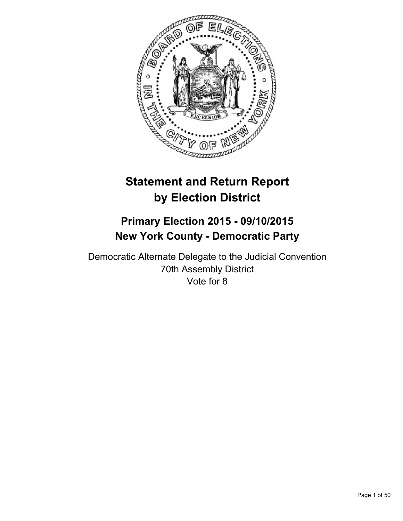

# **Statement and Return Report by Election District**

# **Primary Election 2015 - 09/10/2015 New York County - Democratic Party**

Democratic Alternate Delegate to the Judicial Convention 70th Assembly District Vote for 8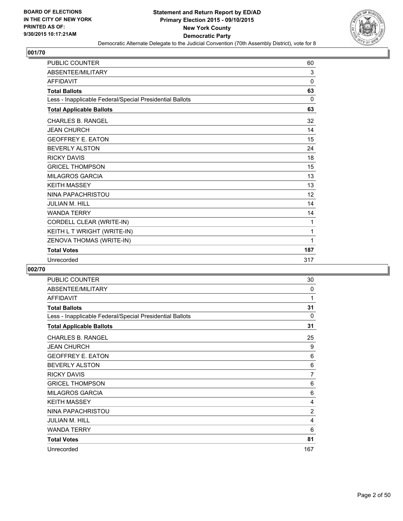

| <b>PUBLIC COUNTER</b>                                    | 60           |
|----------------------------------------------------------|--------------|
| ABSENTEE/MILITARY                                        | 3            |
| <b>AFFIDAVIT</b>                                         | $\mathbf{0}$ |
| <b>Total Ballots</b>                                     | 63           |
| Less - Inapplicable Federal/Special Presidential Ballots | $\Omega$     |
| <b>Total Applicable Ballots</b>                          | 63           |
| <b>CHARLES B. RANGEL</b>                                 | 32           |
| <b>JEAN CHURCH</b>                                       | 14           |
| <b>GEOFFREY E. EATON</b>                                 | 15           |
| <b>BEVERLY ALSTON</b>                                    | 24           |
| <b>RICKY DAVIS</b>                                       | 18           |
| <b>GRICEL THOMPSON</b>                                   | 15           |
| <b>MILAGROS GARCIA</b>                                   | 13           |
| <b>KFITH MASSEY</b>                                      | 13           |
| NINA PAPACHRISTOU                                        | 12           |
| <b>JULIAN M. HILL</b>                                    | 14           |
| <b>WANDA TERRY</b>                                       | 14           |
| CORDELL CLEAR (WRITE-IN)                                 | 1            |
| KEITH L T WRIGHT (WRITE-IN)                              | 1            |
| ZENOVA THOMAS (WRITE-IN)                                 | 1            |
| <b>Total Votes</b>                                       | 187          |
| Unrecorded                                               | 317          |

| <b>PUBLIC COUNTER</b>                                    | 30       |
|----------------------------------------------------------|----------|
| ABSENTEE/MILITARY                                        | 0        |
| <b>AFFIDAVIT</b>                                         | 1        |
| <b>Total Ballots</b>                                     | 31       |
| Less - Inapplicable Federal/Special Presidential Ballots | $\Omega$ |
| <b>Total Applicable Ballots</b>                          | 31       |
| <b>CHARLES B. RANGEL</b>                                 | 25       |
| <b>JEAN CHURCH</b>                                       | 9        |
| <b>GEOFFREY E. EATON</b>                                 | 6        |
| <b>BEVERLY ALSTON</b>                                    | 6        |
| <b>RICKY DAVIS</b>                                       | 7        |
| <b>GRICEL THOMPSON</b>                                   | 6        |
| <b>MILAGROS GARCIA</b>                                   | 6        |
| <b>KEITH MASSEY</b>                                      | 4        |
| NINA PAPACHRISTOU                                        | 2        |
| <b>JULIAN M. HILL</b>                                    | 4        |
| <b>WANDA TERRY</b>                                       | 6        |
| <b>Total Votes</b>                                       | 81       |
| Unrecorded                                               | 167      |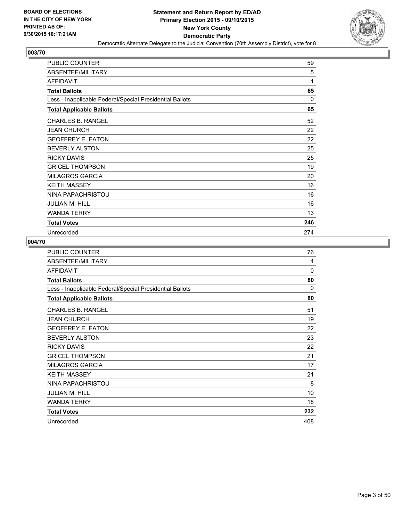

| <b>PUBLIC COUNTER</b>                                    | 59  |
|----------------------------------------------------------|-----|
| ABSENTEE/MILITARY                                        | 5   |
| <b>AFFIDAVIT</b>                                         | 1   |
| <b>Total Ballots</b>                                     | 65  |
| Less - Inapplicable Federal/Special Presidential Ballots | 0   |
| <b>Total Applicable Ballots</b>                          | 65  |
| <b>CHARLES B. RANGEL</b>                                 | 52  |
| <b>JEAN CHURCH</b>                                       | 22  |
| <b>GEOFFREY E. EATON</b>                                 | 22  |
| <b>BEVERLY ALSTON</b>                                    | 25  |
| <b>RICKY DAVIS</b>                                       | 25  |
| <b>GRICEL THOMPSON</b>                                   | 19  |
| <b>MILAGROS GARCIA</b>                                   | 20  |
| <b>KEITH MASSEY</b>                                      | 16  |
| NINA PAPACHRISTOU                                        | 16  |
| <b>JULIAN M. HILL</b>                                    | 16  |
| <b>WANDA TERRY</b>                                       | 13  |
| <b>Total Votes</b>                                       | 246 |
| Unrecorded                                               | 274 |

| <b>PUBLIC COUNTER</b>                                    | 76       |
|----------------------------------------------------------|----------|
| ABSENTEE/MILITARY                                        | 4        |
| <b>AFFIDAVIT</b>                                         | 0        |
| <b>Total Ballots</b>                                     | 80       |
| Less - Inapplicable Federal/Special Presidential Ballots | $\Omega$ |
| <b>Total Applicable Ballots</b>                          | 80       |
| <b>CHARLES B. RANGEL</b>                                 | 51       |
| <b>JEAN CHURCH</b>                                       | 19       |
| <b>GEOFFREY E. EATON</b>                                 | 22       |
| <b>BEVERLY ALSTON</b>                                    | 23       |
| <b>RICKY DAVIS</b>                                       | 22       |
| <b>GRICEL THOMPSON</b>                                   | 21       |
| <b>MILAGROS GARCIA</b>                                   | 17       |
| <b>KEITH MASSEY</b>                                      | 21       |
| NINA PAPACHRISTOU                                        | 8        |
| <b>JULIAN M. HILL</b>                                    | 10       |
| <b>WANDA TERRY</b>                                       | 18       |
| <b>Total Votes</b>                                       | 232      |
| Unrecorded                                               | 408      |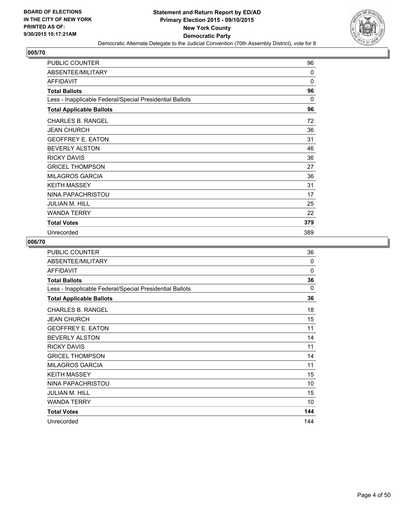

| <b>PUBLIC COUNTER</b>                                    | 96       |
|----------------------------------------------------------|----------|
| ABSENTEE/MILITARY                                        | $\Omega$ |
| <b>AFFIDAVIT</b>                                         | $\Omega$ |
| <b>Total Ballots</b>                                     | 96       |
| Less - Inapplicable Federal/Special Presidential Ballots | 0        |
| <b>Total Applicable Ballots</b>                          | 96       |
| <b>CHARLES B. RANGEL</b>                                 | 72       |
| <b>JEAN CHURCH</b>                                       | 36       |
| <b>GEOFFREY E. EATON</b>                                 | 31       |
| <b>BEVERLY ALSTON</b>                                    | 46       |
| <b>RICKY DAVIS</b>                                       | 36       |
| <b>GRICEL THOMPSON</b>                                   | 27       |
| <b>MILAGROS GARCIA</b>                                   | 36       |
| <b>KEITH MASSEY</b>                                      | 31       |
| NINA PAPACHRISTOU                                        | 17       |
| <b>JULIAN M. HILL</b>                                    | 25       |
| <b>WANDA TERRY</b>                                       | 22       |
| <b>Total Votes</b>                                       | 379      |
| Unrecorded                                               | 389      |

| <b>PUBLIC COUNTER</b>                                    | 36       |
|----------------------------------------------------------|----------|
| ABSENTEE/MILITARY                                        | 0        |
| <b>AFFIDAVIT</b>                                         | 0        |
| <b>Total Ballots</b>                                     | 36       |
| Less - Inapplicable Federal/Special Presidential Ballots | $\Omega$ |
| <b>Total Applicable Ballots</b>                          | 36       |
| <b>CHARLES B. RANGEL</b>                                 | 18       |
| <b>JEAN CHURCH</b>                                       | 15       |
| <b>GEOFFREY E. EATON</b>                                 | 11       |
| <b>BEVERLY ALSTON</b>                                    | 14       |
| <b>RICKY DAVIS</b>                                       | 11       |
| <b>GRICEL THOMPSON</b>                                   | 14       |
| <b>MILAGROS GARCIA</b>                                   | 11       |
| <b>KEITH MASSEY</b>                                      | 15       |
| NINA PAPACHRISTOU                                        | 10       |
| JULIAN M. HILL                                           | 15       |
| <b>WANDA TERRY</b>                                       | 10       |
| <b>Total Votes</b>                                       | 144      |
| Unrecorded                                               | 144      |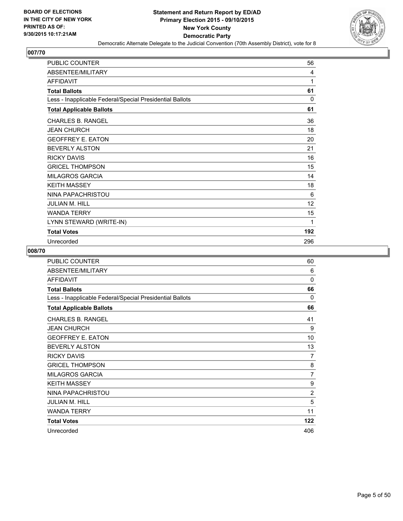

| <b>PUBLIC COUNTER</b>                                    | 56  |
|----------------------------------------------------------|-----|
| ABSENTEE/MILITARY                                        | 4   |
| <b>AFFIDAVIT</b>                                         | 1   |
| <b>Total Ballots</b>                                     | 61  |
| Less - Inapplicable Federal/Special Presidential Ballots | 0   |
| <b>Total Applicable Ballots</b>                          | 61  |
| <b>CHARLES B. RANGEL</b>                                 | 36  |
| <b>JEAN CHURCH</b>                                       | 18  |
| <b>GEOFFREY E. EATON</b>                                 | 20  |
| <b>BEVERLY ALSTON</b>                                    | 21  |
| <b>RICKY DAVIS</b>                                       | 16  |
| <b>GRICEL THOMPSON</b>                                   | 15  |
| <b>MILAGROS GARCIA</b>                                   | 14  |
| <b>KEITH MASSEY</b>                                      | 18  |
| NINA PAPACHRISTOU                                        | 6   |
| <b>JULIAN M. HILL</b>                                    | 12  |
| <b>WANDA TERRY</b>                                       | 15  |
| LYNN STEWARD (WRITE-IN)                                  | 1   |
| <b>Total Votes</b>                                       | 192 |
| Unrecorded                                               | 296 |

| <b>PUBLIC COUNTER</b>                                    | 60             |
|----------------------------------------------------------|----------------|
| ABSENTEE/MILITARY                                        | 6              |
| <b>AFFIDAVIT</b>                                         | $\Omega$       |
| <b>Total Ballots</b>                                     | 66             |
| Less - Inapplicable Federal/Special Presidential Ballots | $\Omega$       |
| <b>Total Applicable Ballots</b>                          | 66             |
| <b>CHARLES B. RANGEL</b>                                 | 41             |
| <b>JEAN CHURCH</b>                                       | 9              |
| <b>GEOFFREY E. EATON</b>                                 | 10             |
| <b>BEVERLY ALSTON</b>                                    | 13             |
| <b>RICKY DAVIS</b>                                       | 7              |
| <b>GRICEL THOMPSON</b>                                   | 8              |
| <b>MILAGROS GARCIA</b>                                   | $\overline{7}$ |
| <b>KEITH MASSEY</b>                                      | 9              |
| NINA PAPACHRISTOU                                        | $\overline{2}$ |
| <b>JULIAN M. HILL</b>                                    | 5              |
| <b>WANDA TERRY</b>                                       | 11             |
| <b>Total Votes</b>                                       | 122            |
| Unrecorded                                               | 406            |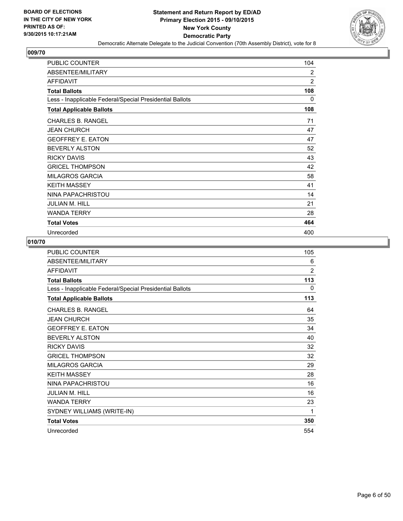

| <b>PUBLIC COUNTER</b>                                    | 104            |
|----------------------------------------------------------|----------------|
| ABSENTEE/MILITARY                                        | 2              |
| <b>AFFIDAVIT</b>                                         | $\overline{2}$ |
| <b>Total Ballots</b>                                     | 108            |
| Less - Inapplicable Federal/Special Presidential Ballots | 0              |
| <b>Total Applicable Ballots</b>                          | 108            |
| <b>CHARLES B. RANGEL</b>                                 | 71             |
| <b>JEAN CHURCH</b>                                       | 47             |
| <b>GEOFFREY E. EATON</b>                                 | 47             |
| <b>BEVERLY ALSTON</b>                                    | 52             |
| <b>RICKY DAVIS</b>                                       | 43             |
| <b>GRICEL THOMPSON</b>                                   | 42             |
| <b>MILAGROS GARCIA</b>                                   | 58             |
| <b>KEITH MASSEY</b>                                      | 41             |
| NINA PAPACHRISTOU                                        | 14             |
| <b>JULIAN M. HILL</b>                                    | 21             |
| <b>WANDA TERRY</b>                                       | 28             |
| <b>Total Votes</b>                                       | 464            |
| Unrecorded                                               | 400            |

| PUBLIC COUNTER                                           | 105            |
|----------------------------------------------------------|----------------|
| ABSENTEE/MILITARY                                        | 6              |
| <b>AFFIDAVIT</b>                                         | $\overline{2}$ |
| <b>Total Ballots</b>                                     | 113            |
| Less - Inapplicable Federal/Special Presidential Ballots | 0              |
| <b>Total Applicable Ballots</b>                          | 113            |
| <b>CHARLES B. RANGEL</b>                                 | 64             |
| <b>JEAN CHURCH</b>                                       | 35             |
| <b>GEOFFREY E. EATON</b>                                 | 34             |
| <b>BEVERLY ALSTON</b>                                    | 40             |
| <b>RICKY DAVIS</b>                                       | 32             |
| <b>GRICEL THOMPSON</b>                                   | 32             |
| <b>MILAGROS GARCIA</b>                                   | 29             |
| <b>KEITH MASSEY</b>                                      | 28             |
| NINA PAPACHRISTOU                                        | 16             |
| <b>JULIAN M. HILL</b>                                    | 16             |
| <b>WANDA TERRY</b>                                       | 23             |
| SYDNEY WILLIAMS (WRITE-IN)                               | 1              |
| <b>Total Votes</b>                                       | 350            |
| Unrecorded                                               | 554            |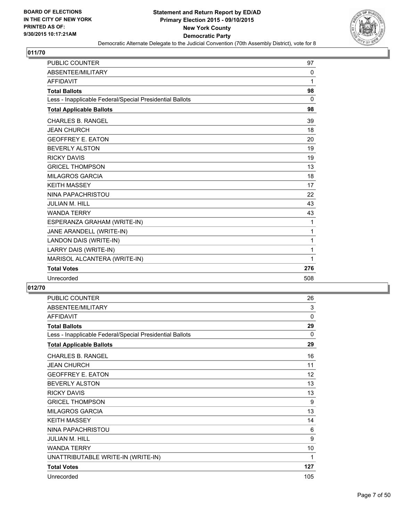

| <b>PUBLIC COUNTER</b>                                    | 97  |
|----------------------------------------------------------|-----|
| ABSENTEE/MILITARY                                        | 0   |
| <b>AFFIDAVIT</b>                                         | 1   |
| <b>Total Ballots</b>                                     | 98  |
| Less - Inapplicable Federal/Special Presidential Ballots | 0   |
| <b>Total Applicable Ballots</b>                          | 98  |
| <b>CHARLES B. RANGEL</b>                                 | 39  |
| <b>JEAN CHURCH</b>                                       | 18  |
| <b>GEOFFREY E. EATON</b>                                 | 20  |
| <b>BEVERLY ALSTON</b>                                    | 19  |
| <b>RICKY DAVIS</b>                                       | 19  |
| <b>GRICEL THOMPSON</b>                                   | 13  |
| <b>MILAGROS GARCIA</b>                                   | 18  |
| <b>KEITH MASSEY</b>                                      | 17  |
| NINA PAPACHRISTOU                                        | 22  |
| JULIAN M. HILL                                           | 43  |
| <b>WANDA TERRY</b>                                       | 43  |
| ESPERANZA GRAHAM (WRITE-IN)                              | 1   |
| JANE ARANDELL (WRITE-IN)                                 | 1   |
| LANDON DAIS (WRITE-IN)                                   | 1   |
| LARRY DAIS (WRITE-IN)                                    | 1   |
| MARISOL ALCANTERA (WRITE-IN)                             | 1   |
| <b>Total Votes</b>                                       | 276 |
| Unrecorded                                               | 508 |

| <b>PUBLIC COUNTER</b>                                    | 26           |
|----------------------------------------------------------|--------------|
| ABSENTEE/MILITARY                                        | 3            |
| <b>AFFIDAVIT</b>                                         | $\mathbf{0}$ |
| <b>Total Ballots</b>                                     | 29           |
| Less - Inapplicable Federal/Special Presidential Ballots | 0            |
| <b>Total Applicable Ballots</b>                          | 29           |
| <b>CHARLES B. RANGEL</b>                                 | 16           |
| <b>JEAN CHURCH</b>                                       | 11           |
| <b>GEOFFREY E. EATON</b>                                 | 12           |
| <b>BEVERLY ALSTON</b>                                    | 13           |
| <b>RICKY DAVIS</b>                                       | 13           |
| <b>GRICEL THOMPSON</b>                                   | 9            |
| <b>MILAGROS GARCIA</b>                                   | 13           |
| <b>KEITH MASSEY</b>                                      | 14           |
| NINA PAPACHRISTOU                                        | 6            |
| <b>JULIAN M. HILL</b>                                    | 9            |
| <b>WANDA TERRY</b>                                       | 10           |
| UNATTRIBUTABLE WRITE-IN (WRITE-IN)                       | 1            |
| <b>Total Votes</b>                                       | 127          |
| Unrecorded                                               | 105          |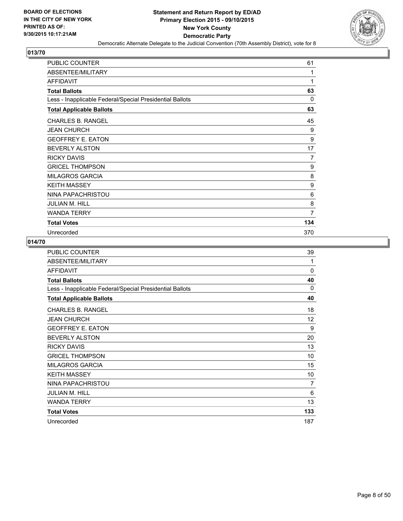

| <b>PUBLIC COUNTER</b>                                    | 61  |
|----------------------------------------------------------|-----|
| ABSENTEE/MILITARY                                        | 1   |
| <b>AFFIDAVIT</b>                                         | 1   |
| <b>Total Ballots</b>                                     | 63  |
| Less - Inapplicable Federal/Special Presidential Ballots | 0   |
| <b>Total Applicable Ballots</b>                          | 63  |
| <b>CHARLES B. RANGEL</b>                                 | 45  |
| <b>JEAN CHURCH</b>                                       | 9   |
| <b>GEOFFREY E. EATON</b>                                 | 9   |
| <b>BEVERLY ALSTON</b>                                    | 17  |
| <b>RICKY DAVIS</b>                                       | 7   |
| <b>GRICEL THOMPSON</b>                                   | 9   |
| <b>MILAGROS GARCIA</b>                                   | 8   |
| <b>KEITH MASSEY</b>                                      | 9   |
| NINA PAPACHRISTOU                                        | 6   |
| <b>JULIAN M. HILL</b>                                    | 8   |
| <b>WANDA TERRY</b>                                       | 7   |
| <b>Total Votes</b>                                       | 134 |
| Unrecorded                                               | 370 |

| PUBLIC COUNTER                                           | 39       |
|----------------------------------------------------------|----------|
| ABSENTEE/MILITARY                                        | 1        |
| <b>AFFIDAVIT</b>                                         | 0        |
| <b>Total Ballots</b>                                     | 40       |
| Less - Inapplicable Federal/Special Presidential Ballots | $\Omega$ |
| <b>Total Applicable Ballots</b>                          | 40       |
| <b>CHARLES B. RANGEL</b>                                 | 18       |
| <b>JEAN CHURCH</b>                                       | 12       |
| <b>GEOFFREY E. EATON</b>                                 | 9        |
| <b>BEVERLY ALSTON</b>                                    | 20       |
| <b>RICKY DAVIS</b>                                       | 13       |
| <b>GRICEL THOMPSON</b>                                   | 10       |
| <b>MILAGROS GARCIA</b>                                   | 15       |
| <b>KEITH MASSEY</b>                                      | 10       |
| NINA PAPACHRISTOU                                        | 7        |
| <b>JULIAN M. HILL</b>                                    | 6        |
| <b>WANDA TERRY</b>                                       | 13       |
| <b>Total Votes</b>                                       | 133      |
| Unrecorded                                               | 187      |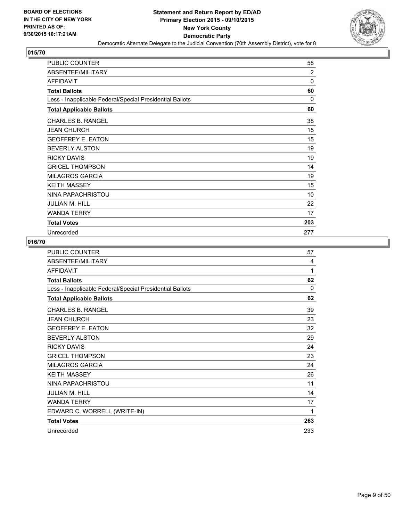

| <b>PUBLIC COUNTER</b>                                    | 58       |
|----------------------------------------------------------|----------|
| ABSENTEE/MILITARY                                        | 2        |
| <b>AFFIDAVIT</b>                                         | $\Omega$ |
| <b>Total Ballots</b>                                     | 60       |
| Less - Inapplicable Federal/Special Presidential Ballots | $\Omega$ |
| <b>Total Applicable Ballots</b>                          | 60       |
| <b>CHARLES B. RANGEL</b>                                 | 38       |
| <b>JEAN CHURCH</b>                                       | 15       |
| <b>GEOFFREY E. EATON</b>                                 | 15       |
| <b>BEVERLY ALSTON</b>                                    | 19       |
| <b>RICKY DAVIS</b>                                       | 19       |
| <b>GRICEL THOMPSON</b>                                   | 14       |
| <b>MILAGROS GARCIA</b>                                   | 19       |
| <b>KEITH MASSEY</b>                                      | 15       |
| NINA PAPACHRISTOU                                        | 10       |
| <b>JULIAN M. HILL</b>                                    | 22       |
| <b>WANDA TERRY</b>                                       | 17       |
| <b>Total Votes</b>                                       | 203      |
| Unrecorded                                               | 277      |

| <b>PUBLIC COUNTER</b>                                    | 57       |
|----------------------------------------------------------|----------|
| ABSENTEE/MILITARY                                        | 4        |
| <b>AFFIDAVIT</b>                                         | 1        |
| <b>Total Ballots</b>                                     | 62       |
| Less - Inapplicable Federal/Special Presidential Ballots | $\Omega$ |
| <b>Total Applicable Ballots</b>                          | 62       |
| <b>CHARLES B. RANGEL</b>                                 | 39       |
| <b>JEAN CHURCH</b>                                       | 23       |
| <b>GEOFFREY E. EATON</b>                                 | 32       |
| <b>BEVERLY ALSTON</b>                                    | 29       |
| <b>RICKY DAVIS</b>                                       | 24       |
| <b>GRICEL THOMPSON</b>                                   | 23       |
| <b>MILAGROS GARCIA</b>                                   | 24       |
| <b>KEITH MASSEY</b>                                      | 26       |
| NINA PAPACHRISTOU                                        | 11       |
| <b>JULIAN M. HILL</b>                                    | 14       |
| <b>WANDA TERRY</b>                                       | 17       |
| EDWARD C. WORRELL (WRITE-IN)                             | 1        |
| <b>Total Votes</b>                                       | 263      |
| Unrecorded                                               | 233      |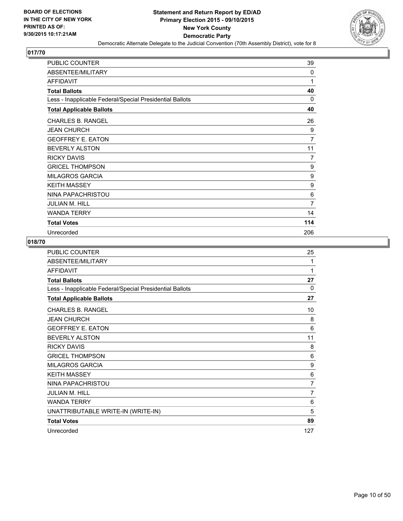

| <b>PUBLIC COUNTER</b>                                    | 39  |
|----------------------------------------------------------|-----|
| ABSENTEE/MILITARY                                        | 0   |
| AFFIDAVIT                                                | 1   |
| <b>Total Ballots</b>                                     | 40  |
| Less - Inapplicable Federal/Special Presidential Ballots | 0   |
| <b>Total Applicable Ballots</b>                          | 40  |
| <b>CHARLES B. RANGEL</b>                                 | 26  |
| <b>JEAN CHURCH</b>                                       | 9   |
| <b>GEOFFREY E. EATON</b>                                 | 7   |
| <b>BEVERLY ALSTON</b>                                    | 11  |
| <b>RICKY DAVIS</b>                                       | 7   |
| <b>GRICEL THOMPSON</b>                                   | 9   |
| <b>MILAGROS GARCIA</b>                                   | 9   |
| <b>KEITH MASSEY</b>                                      | 9   |
| NINA PAPACHRISTOU                                        | 6   |
| <b>JULIAN M. HILL</b>                                    | 7   |
| <b>WANDA TERRY</b>                                       | 14  |
| <b>Total Votes</b>                                       | 114 |
| Unrecorded                                               | 206 |

| <b>PUBLIC COUNTER</b>                                    | 25       |
|----------------------------------------------------------|----------|
| ABSENTEE/MILITARY                                        | 1        |
| <b>AFFIDAVIT</b>                                         | 1        |
| <b>Total Ballots</b>                                     | 27       |
| Less - Inapplicable Federal/Special Presidential Ballots | $\Omega$ |
| <b>Total Applicable Ballots</b>                          | 27       |
| <b>CHARLES B. RANGEL</b>                                 | 10       |
| <b>JEAN CHURCH</b>                                       | 8        |
| <b>GEOFFREY E. EATON</b>                                 | 6        |
| <b>BEVERLY ALSTON</b>                                    | 11       |
| <b>RICKY DAVIS</b>                                       | 8        |
| <b>GRICEL THOMPSON</b>                                   | 6        |
| <b>MILAGROS GARCIA</b>                                   | 9        |
| <b>KEITH MASSEY</b>                                      | 6        |
| NINA PAPACHRISTOU                                        | 7        |
| <b>JULIAN M. HILL</b>                                    | 7        |
| <b>WANDA TERRY</b>                                       | 6        |
| UNATTRIBUTABLE WRITE-IN (WRITE-IN)                       | 5        |
| <b>Total Votes</b>                                       | 89       |
| Unrecorded                                               | 127      |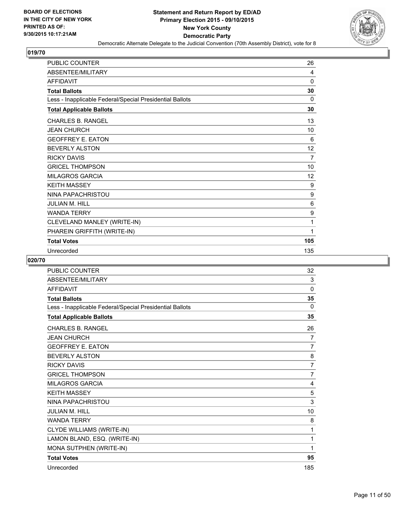

| PUBLIC COUNTER                                           | 26  |
|----------------------------------------------------------|-----|
| ABSENTEE/MILITARY                                        | 4   |
| <b>AFFIDAVIT</b>                                         | 0   |
| <b>Total Ballots</b>                                     | 30  |
| Less - Inapplicable Federal/Special Presidential Ballots | 0   |
| <b>Total Applicable Ballots</b>                          | 30  |
| <b>CHARLES B. RANGEL</b>                                 | 13  |
| <b>JEAN CHURCH</b>                                       | 10  |
| <b>GEOFFREY E. EATON</b>                                 | 6   |
| <b>BEVERLY ALSTON</b>                                    | 12  |
| <b>RICKY DAVIS</b>                                       | 7   |
| <b>GRICEL THOMPSON</b>                                   | 10  |
| <b>MILAGROS GARCIA</b>                                   | 12  |
| <b>KEITH MASSEY</b>                                      | 9   |
| NINA PAPACHRISTOU                                        | 9   |
| <b>JULIAN M. HILL</b>                                    | 6   |
| <b>WANDA TERRY</b>                                       | 9   |
| CLEVELAND MANLEY (WRITE-IN)                              | 1   |
| PHAREIN GRIFFITH (WRITE-IN)                              | 1   |
| <b>Total Votes</b>                                       | 105 |
| Unrecorded                                               | 135 |

| <b>PUBLIC COUNTER</b>                                    | 32             |
|----------------------------------------------------------|----------------|
| ABSENTEE/MILITARY                                        | 3              |
| <b>AFFIDAVIT</b>                                         | 0              |
| <b>Total Ballots</b>                                     | 35             |
| Less - Inapplicable Federal/Special Presidential Ballots | $\Omega$       |
| <b>Total Applicable Ballots</b>                          | 35             |
| <b>CHARLES B. RANGEL</b>                                 | 26             |
| <b>JEAN CHURCH</b>                                       | $\overline{7}$ |
| <b>GEOFFREY E. EATON</b>                                 | $\overline{7}$ |
| <b>BEVERLY ALSTON</b>                                    | 8              |
| <b>RICKY DAVIS</b>                                       | $\overline{7}$ |
| <b>GRICEL THOMPSON</b>                                   | $\overline{7}$ |
| <b>MILAGROS GARCIA</b>                                   | 4              |
| <b>KEITH MASSEY</b>                                      | 5              |
| NINA PAPACHRISTOU                                        | 3              |
| <b>JULIAN M. HILL</b>                                    | 10             |
| <b>WANDA TERRY</b>                                       | 8              |
| CLYDE WILLIAMS (WRITE-IN)                                | 1              |
| LAMON BLAND, ESQ. (WRITE-IN)                             | 1              |
| MONA SUTPHEN (WRITE-IN)                                  | 1              |
| <b>Total Votes</b>                                       | 95             |
| Unrecorded                                               | 185            |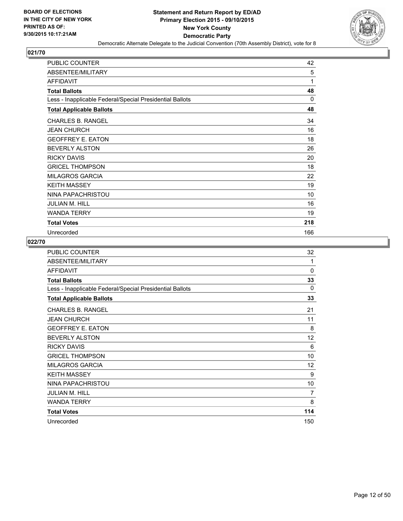

| <b>PUBLIC COUNTER</b>                                    | 42       |
|----------------------------------------------------------|----------|
| ABSENTEE/MILITARY                                        | 5        |
| <b>AFFIDAVIT</b>                                         | 1        |
| <b>Total Ballots</b>                                     | 48       |
| Less - Inapplicable Federal/Special Presidential Ballots | $\Omega$ |
| <b>Total Applicable Ballots</b>                          | 48       |
| <b>CHARLES B. RANGEL</b>                                 | 34       |
| <b>JEAN CHURCH</b>                                       | 16       |
| <b>GEOFFREY E. EATON</b>                                 | 18       |
| <b>BEVERLY ALSTON</b>                                    | 26       |
| <b>RICKY DAVIS</b>                                       | 20       |
| <b>GRICEL THOMPSON</b>                                   | 18       |
| <b>MILAGROS GARCIA</b>                                   | 22       |
| <b>KEITH MASSEY</b>                                      | 19       |
| NINA PAPACHRISTOU                                        | 10       |
| <b>JULIAN M. HILL</b>                                    | 16       |
| <b>WANDA TERRY</b>                                       | 19       |
| <b>Total Votes</b>                                       | 218      |
| Unrecorded                                               | 166      |

| PUBLIC COUNTER                                           | 32  |
|----------------------------------------------------------|-----|
| ABSENTEE/MILITARY                                        | 1   |
| <b>AFFIDAVIT</b>                                         | 0   |
| <b>Total Ballots</b>                                     | 33  |
| Less - Inapplicable Federal/Special Presidential Ballots | 0   |
| <b>Total Applicable Ballots</b>                          | 33  |
| <b>CHARLES B. RANGEL</b>                                 | 21  |
| <b>JEAN CHURCH</b>                                       | 11  |
| <b>GEOFFREY E. EATON</b>                                 | 8   |
| <b>BEVERLY ALSTON</b>                                    | 12  |
| <b>RICKY DAVIS</b>                                       | 6   |
| <b>GRICEL THOMPSON</b>                                   | 10  |
| <b>MILAGROS GARCIA</b>                                   | 12  |
| <b>KEITH MASSEY</b>                                      | 9   |
| NINA PAPACHRISTOU                                        | 10  |
| <b>JULIAN M. HILL</b>                                    | 7   |
| <b>WANDA TERRY</b>                                       | 8   |
| <b>Total Votes</b>                                       | 114 |
| Unrecorded                                               | 150 |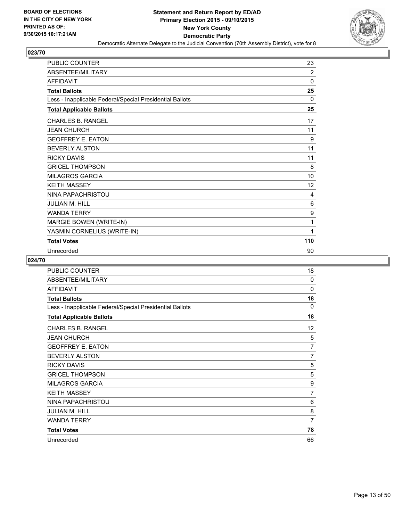

| PUBLIC COUNTER                                           | 23       |
|----------------------------------------------------------|----------|
| ABSENTEE/MILITARY                                        | 2        |
| <b>AFFIDAVIT</b>                                         | $\Omega$ |
| <b>Total Ballots</b>                                     | 25       |
| Less - Inapplicable Federal/Special Presidential Ballots | 0        |
| <b>Total Applicable Ballots</b>                          | 25       |
| <b>CHARLES B. RANGEL</b>                                 | 17       |
| <b>JEAN CHURCH</b>                                       | 11       |
| <b>GEOFFREY E. EATON</b>                                 | 9        |
| <b>BEVERLY ALSTON</b>                                    | 11       |
| <b>RICKY DAVIS</b>                                       | 11       |
| <b>GRICEL THOMPSON</b>                                   | 8        |
| <b>MILAGROS GARCIA</b>                                   | 10       |
| <b>KEITH MASSEY</b>                                      | 12       |
| NINA PAPACHRISTOU                                        | 4        |
| <b>JULIAN M. HILL</b>                                    | 6        |
| <b>WANDA TERRY</b>                                       | 9        |
| MARGIE BOWEN (WRITE-IN)                                  | 1        |
| YASMIN CORNELIUS (WRITE-IN)                              | 1        |
| <b>Total Votes</b>                                       | 110      |
| Unrecorded                                               | 90       |

| PUBLIC COUNTER                                           | 18                |
|----------------------------------------------------------|-------------------|
| ABSENTEE/MILITARY                                        | 0                 |
| <b>AFFIDAVIT</b>                                         | 0                 |
| <b>Total Ballots</b>                                     | 18                |
| Less - Inapplicable Federal/Special Presidential Ballots | $\Omega$          |
| <b>Total Applicable Ballots</b>                          | 18                |
| <b>CHARLES B. RANGEL</b>                                 | $12 \overline{ }$ |
| <b>JEAN CHURCH</b>                                       | 5                 |
| <b>GEOFFREY E. EATON</b>                                 | $\overline{7}$    |
| BEVERLY ALSTON                                           | $\overline{7}$    |
| <b>RICKY DAVIS</b>                                       | 5                 |
| <b>GRICEL THOMPSON</b>                                   | 5                 |
| <b>MILAGROS GARCIA</b>                                   | 9                 |
| <b>KEITH MASSEY</b>                                      | 7                 |
| NINA PAPACHRISTOU                                        | 6                 |
| <b>JULIAN M. HILL</b>                                    | 8                 |
| <b>WANDA TERRY</b>                                       | $\overline{7}$    |
| <b>Total Votes</b>                                       | 78                |
| Unrecorded                                               | 66                |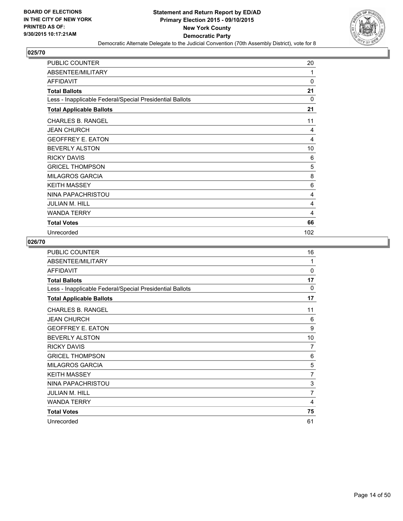

| <b>PUBLIC COUNTER</b>                                    | 20  |
|----------------------------------------------------------|-----|
| ABSENTEE/MILITARY                                        | 1   |
| AFFIDAVIT                                                | 0   |
| <b>Total Ballots</b>                                     | 21  |
| Less - Inapplicable Federal/Special Presidential Ballots | 0   |
| <b>Total Applicable Ballots</b>                          | 21  |
| <b>CHARLES B. RANGEL</b>                                 | 11  |
| <b>JEAN CHURCH</b>                                       | 4   |
| <b>GEOFFREY E. EATON</b>                                 | 4   |
| <b>BEVERLY ALSTON</b>                                    | 10  |
| <b>RICKY DAVIS</b>                                       | 6   |
| <b>GRICEL THOMPSON</b>                                   | 5   |
| <b>MILAGROS GARCIA</b>                                   | 8   |
| <b>KEITH MASSEY</b>                                      | 6   |
| NINA PAPACHRISTOU                                        | 4   |
| JULIAN M. HILL                                           | 4   |
| <b>WANDA TERRY</b>                                       | 4   |
| <b>Total Votes</b>                                       | 66  |
| Unrecorded                                               | 102 |

| <b>PUBLIC COUNTER</b>                                    | 16             |
|----------------------------------------------------------|----------------|
| ABSENTEE/MILITARY                                        | 1              |
| <b>AFFIDAVIT</b>                                         | 0              |
| <b>Total Ballots</b>                                     | 17             |
| Less - Inapplicable Federal/Special Presidential Ballots | $\Omega$       |
| <b>Total Applicable Ballots</b>                          | 17             |
| <b>CHARLES B. RANGEL</b>                                 | 11             |
| <b>JEAN CHURCH</b>                                       | 6              |
| <b>GEOFFREY E. EATON</b>                                 | 9              |
| <b>BEVERLY ALSTON</b>                                    | 10             |
| <b>RICKY DAVIS</b>                                       | 7              |
| <b>GRICEL THOMPSON</b>                                   | 6              |
| <b>MILAGROS GARCIA</b>                                   | 5              |
| <b>KEITH MASSEY</b>                                      | 7              |
| NINA PAPACHRISTOU                                        | 3              |
| JULIAN M. HILL                                           | $\overline{7}$ |
| <b>WANDA TERRY</b>                                       | 4              |
| <b>Total Votes</b>                                       | 75             |
| Unrecorded                                               | 61             |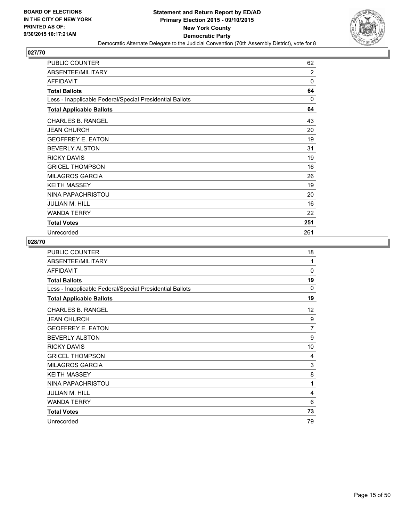

| PUBLIC COUNTER                                           | 62       |
|----------------------------------------------------------|----------|
| ABSENTEE/MILITARY                                        | 2        |
| <b>AFFIDAVIT</b>                                         | 0        |
| <b>Total Ballots</b>                                     | 64       |
| Less - Inapplicable Federal/Special Presidential Ballots | $\Omega$ |
| <b>Total Applicable Ballots</b>                          | 64       |
| <b>CHARLES B. RANGEL</b>                                 | 43       |
| <b>JEAN CHURCH</b>                                       | 20       |
| <b>GEOFFREY E. EATON</b>                                 | 19       |
| <b>BEVERLY ALSTON</b>                                    | 31       |
| <b>RICKY DAVIS</b>                                       | 19       |
| <b>GRICEL THOMPSON</b>                                   | 16       |
| <b>MILAGROS GARCIA</b>                                   | 26       |
| <b>KEITH MASSEY</b>                                      | 19       |
| NINA PAPACHRISTOU                                        | 20       |
| <b>JULIAN M. HILL</b>                                    | 16       |
| <b>WANDA TERRY</b>                                       | 22       |
| <b>Total Votes</b>                                       | 251      |
| Unrecorded                                               | 261      |

| <b>PUBLIC COUNTER</b>                                    | 18             |
|----------------------------------------------------------|----------------|
| ABSENTEE/MILITARY                                        | 1              |
| <b>AFFIDAVIT</b>                                         | 0              |
| <b>Total Ballots</b>                                     | 19             |
| Less - Inapplicable Federal/Special Presidential Ballots | $\Omega$       |
| <b>Total Applicable Ballots</b>                          | 19             |
| <b>CHARLES B. RANGEL</b>                                 | 12             |
| <b>JEAN CHURCH</b>                                       | 9              |
| <b>GEOFFREY E. EATON</b>                                 | $\overline{7}$ |
| <b>BEVERLY ALSTON</b>                                    | 9              |
| <b>RICKY DAVIS</b>                                       | 10             |
| <b>GRICEL THOMPSON</b>                                   | 4              |
| <b>MILAGROS GARCIA</b>                                   | 3              |
| <b>KEITH MASSEY</b>                                      | 8              |
| NINA PAPACHRISTOU                                        | 1              |
| JULIAN M. HILL                                           | 4              |
| <b>WANDA TERRY</b>                                       | 6              |
| <b>Total Votes</b>                                       | 73             |
| Unrecorded                                               | 79             |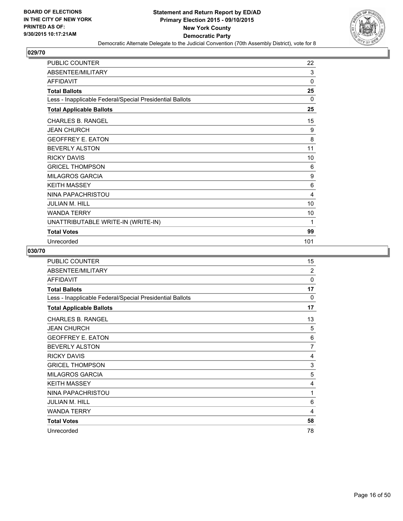

| <b>PUBLIC COUNTER</b>                                    | 22          |
|----------------------------------------------------------|-------------|
| ABSENTEE/MILITARY                                        | 3           |
| AFFIDAVIT                                                | $\mathbf 0$ |
| <b>Total Ballots</b>                                     | 25          |
| Less - Inapplicable Federal/Special Presidential Ballots | 0           |
| <b>Total Applicable Ballots</b>                          | 25          |
| <b>CHARLES B. RANGEL</b>                                 | 15          |
| <b>JEAN CHURCH</b>                                       | 9           |
| <b>GEOFFREY E. EATON</b>                                 | 8           |
| <b>BEVERLY ALSTON</b>                                    | 11          |
| <b>RICKY DAVIS</b>                                       | 10          |
| <b>GRICEL THOMPSON</b>                                   | 6           |
| <b>MILAGROS GARCIA</b>                                   | 9           |
| <b>KEITH MASSEY</b>                                      | 6           |
| NINA PAPACHRISTOU                                        | 4           |
| <b>JULIAN M. HILL</b>                                    | 10          |
| <b>WANDA TERRY</b>                                       | 10          |
| UNATTRIBUTABLE WRITE-IN (WRITE-IN)                       | 1           |
| <b>Total Votes</b>                                       | 99          |
| Unrecorded                                               | 101         |

| <b>PUBLIC COUNTER</b>                                    | 15             |
|----------------------------------------------------------|----------------|
| ABSENTEE/MILITARY                                        | 2              |
| <b>AFFIDAVIT</b>                                         | 0              |
| <b>Total Ballots</b>                                     | 17             |
| Less - Inapplicable Federal/Special Presidential Ballots | $\Omega$       |
| <b>Total Applicable Ballots</b>                          | 17             |
| <b>CHARLES B. RANGEL</b>                                 | 13             |
| <b>JEAN CHURCH</b>                                       | 5              |
| <b>GEOFFREY E. EATON</b>                                 | 6              |
| <b>BEVERLY ALSTON</b>                                    | $\overline{7}$ |
| <b>RICKY DAVIS</b>                                       | 4              |
| <b>GRICEL THOMPSON</b>                                   | 3              |
| <b>MILAGROS GARCIA</b>                                   | 5              |
| <b>KEITH MASSEY</b>                                      | 4              |
| NINA PAPACHRISTOU                                        | 1              |
| <b>JULIAN M. HILL</b>                                    | 6              |
| <b>WANDA TERRY</b>                                       | 4              |
| <b>Total Votes</b>                                       | 58             |
| Unrecorded                                               | 78             |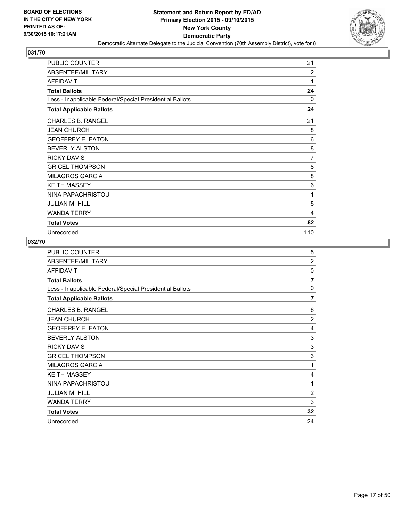

| <b>PUBLIC COUNTER</b>                                    | 21             |
|----------------------------------------------------------|----------------|
| ABSENTEE/MILITARY                                        | $\overline{2}$ |
| <b>AFFIDAVIT</b>                                         | 1              |
| <b>Total Ballots</b>                                     | 24             |
| Less - Inapplicable Federal/Special Presidential Ballots | $\Omega$       |
| <b>Total Applicable Ballots</b>                          | 24             |
| <b>CHARLES B. RANGEL</b>                                 | 21             |
| <b>JEAN CHURCH</b>                                       | 8              |
| <b>GEOFFREY E. EATON</b>                                 | 6              |
| <b>BEVERLY ALSTON</b>                                    | 8              |
| <b>RICKY DAVIS</b>                                       | 7              |
| <b>GRICEL THOMPSON</b>                                   | 8              |
| <b>MILAGROS GARCIA</b>                                   | 8              |
| <b>KEITH MASSEY</b>                                      | 6              |
| NINA PAPACHRISTOU                                        | 1              |
| <b>JULIAN M. HILL</b>                                    | 5              |
| <b>WANDA TERRY</b>                                       | 4              |
| <b>Total Votes</b>                                       | 82             |
| Unrecorded                                               | 110            |

| PUBLIC COUNTER                                           | 5              |
|----------------------------------------------------------|----------------|
| ABSENTEE/MILITARY                                        | $\overline{2}$ |
| <b>AFFIDAVIT</b>                                         | 0              |
| <b>Total Ballots</b>                                     | 7              |
| Less - Inapplicable Federal/Special Presidential Ballots | $\Omega$       |
| <b>Total Applicable Ballots</b>                          | $\overline{7}$ |
| <b>CHARLES B. RANGEL</b>                                 | 6              |
| <b>JEAN CHURCH</b>                                       | $\overline{2}$ |
| <b>GEOFFREY E. EATON</b>                                 | 4              |
| <b>BEVERLY ALSTON</b>                                    | 3              |
| <b>RICKY DAVIS</b>                                       | 3              |
| <b>GRICEL THOMPSON</b>                                   | 3              |
| <b>MILAGROS GARCIA</b>                                   | 1              |
| <b>KEITH MASSEY</b>                                      | 4              |
| NINA PAPACHRISTOU                                        | 1              |
| <b>JULIAN M. HILL</b>                                    | $\overline{2}$ |
| <b>WANDA TERRY</b>                                       | 3              |
| <b>Total Votes</b>                                       | 32             |
| Unrecorded                                               | 24             |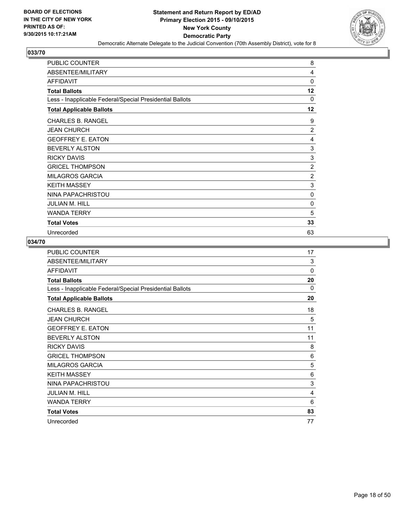

| PUBLIC COUNTER                                           | 8              |
|----------------------------------------------------------|----------------|
| ABSENTEE/MILITARY                                        | 4              |
| <b>AFFIDAVIT</b>                                         | 0              |
| <b>Total Ballots</b>                                     | 12             |
| Less - Inapplicable Federal/Special Presidential Ballots | $\Omega$       |
| <b>Total Applicable Ballots</b>                          | 12             |
| <b>CHARLES B. RANGEL</b>                                 | 9              |
| <b>JEAN CHURCH</b>                                       | $\overline{2}$ |
| <b>GEOFFREY E. EATON</b>                                 | 4              |
| <b>BEVERLY ALSTON</b>                                    | 3              |
| <b>RICKY DAVIS</b>                                       | 3              |
| <b>GRICEL THOMPSON</b>                                   | $\overline{2}$ |
| <b>MILAGROS GARCIA</b>                                   | 2              |
| <b>KEITH MASSEY</b>                                      | 3              |
| NINA PAPACHRISTOU                                        | 0              |
| <b>JULIAN M. HILL</b>                                    | 0              |
| <b>WANDA TERRY</b>                                       | 5              |
| <b>Total Votes</b>                                       | 33             |
| Unrecorded                                               | 63             |

| PUBLIC COUNTER                                           | 17       |
|----------------------------------------------------------|----------|
| ABSENTEE/MILITARY                                        | 3        |
| <b>AFFIDAVIT</b>                                         | $\Omega$ |
| <b>Total Ballots</b>                                     | 20       |
| Less - Inapplicable Federal/Special Presidential Ballots | 0        |
| <b>Total Applicable Ballots</b>                          | 20       |
| <b>CHARLES B. RANGEL</b>                                 | 18       |
| <b>JEAN CHURCH</b>                                       | 5        |
| <b>GEOFFREY E. EATON</b>                                 | 11       |
| <b>BEVERLY ALSTON</b>                                    | 11       |
| <b>RICKY DAVIS</b>                                       | 8        |
| <b>GRICEL THOMPSON</b>                                   | 6        |
| <b>MILAGROS GARCIA</b>                                   | 5        |
| <b>KEITH MASSEY</b>                                      | 6        |
| NINA PAPACHRISTOU                                        | 3        |
| <b>JULIAN M. HILL</b>                                    | 4        |
| <b>WANDA TERRY</b>                                       | 6        |
| <b>Total Votes</b>                                       | 83       |
| Unrecorded                                               | 77       |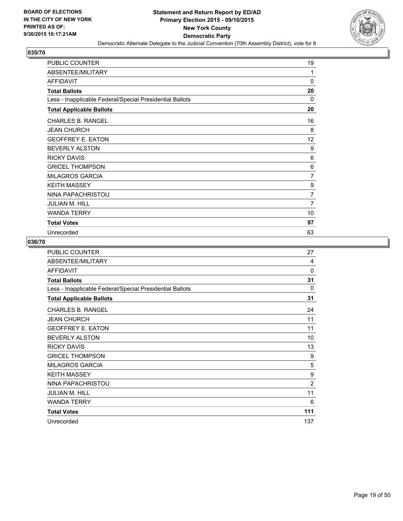

| PUBLIC COUNTER                                           | 19             |
|----------------------------------------------------------|----------------|
| ABSENTEE/MILITARY                                        | 1              |
| <b>AFFIDAVIT</b>                                         | 0              |
| <b>Total Ballots</b>                                     | 20             |
| Less - Inapplicable Federal/Special Presidential Ballots | $\Omega$       |
| <b>Total Applicable Ballots</b>                          | 20             |
| <b>CHARLES B. RANGEL</b>                                 | 16             |
| <b>JEAN CHURCH</b>                                       | 8              |
| <b>GEOFFREY E. EATON</b>                                 | 12             |
| <b>BEVERLY ALSTON</b>                                    | 9              |
| <b>RICKY DAVIS</b>                                       | 6              |
| <b>GRICEL THOMPSON</b>                                   | 6              |
| <b>MILAGROS GARCIA</b>                                   | $\overline{7}$ |
| <b>KEITH MASSEY</b>                                      | 9              |
| NINA PAPACHRISTOU                                        | $\overline{7}$ |
| <b>JULIAN M. HILL</b>                                    | $\overline{7}$ |
| <b>WANDA TERRY</b>                                       | 10             |
| <b>Total Votes</b>                                       | 97             |
| Unrecorded                                               | 63             |

| PUBLIC COUNTER                                           | 27             |
|----------------------------------------------------------|----------------|
| ABSENTEE/MILITARY                                        | 4              |
| <b>AFFIDAVIT</b>                                         | $\Omega$       |
| <b>Total Ballots</b>                                     | 31             |
| Less - Inapplicable Federal/Special Presidential Ballots | 0              |
| <b>Total Applicable Ballots</b>                          | 31             |
| <b>CHARLES B. RANGEL</b>                                 | 24             |
| <b>JEAN CHURCH</b>                                       | 11             |
| <b>GEOFFREY E. EATON</b>                                 | 11             |
| <b>BEVERLY ALSTON</b>                                    | 10             |
| <b>RICKY DAVIS</b>                                       | 13             |
| <b>GRICEL THOMPSON</b>                                   | 9              |
| <b>MILAGROS GARCIA</b>                                   | 5              |
| <b>KEITH MASSEY</b>                                      | 9              |
| NINA PAPACHRISTOU                                        | $\overline{2}$ |
| <b>JULIAN M. HILL</b>                                    | 11             |
| <b>WANDA TERRY</b>                                       | 6              |
| <b>Total Votes</b>                                       | 111            |
| Unrecorded                                               | 137            |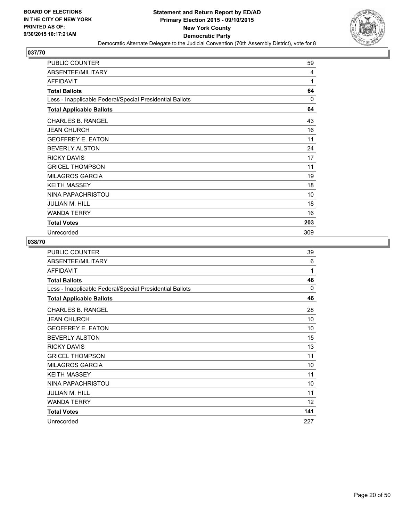

| PUBLIC COUNTER                                           | 59       |
|----------------------------------------------------------|----------|
| ABSENTEE/MILITARY                                        | 4        |
| <b>AFFIDAVIT</b>                                         | 1        |
| <b>Total Ballots</b>                                     | 64       |
| Less - Inapplicable Federal/Special Presidential Ballots | $\Omega$ |
| <b>Total Applicable Ballots</b>                          | 64       |
| <b>CHARLES B. RANGEL</b>                                 | 43       |
| <b>JEAN CHURCH</b>                                       | 16       |
| <b>GEOFFREY E. EATON</b>                                 | 11       |
| <b>BEVERLY ALSTON</b>                                    | 24       |
| <b>RICKY DAVIS</b>                                       | 17       |
| <b>GRICEL THOMPSON</b>                                   | 11       |
| <b>MILAGROS GARCIA</b>                                   | 19       |
| <b>KEITH MASSEY</b>                                      | 18       |
| NINA PAPACHRISTOU                                        | 10       |
| <b>JULIAN M. HILL</b>                                    | 18       |
| <b>WANDA TERRY</b>                                       | 16       |
| <b>Total Votes</b>                                       | 203      |
| Unrecorded                                               | 309      |

| PUBLIC COUNTER                                           | 39       |
|----------------------------------------------------------|----------|
| ABSENTEE/MILITARY                                        | 6        |
| <b>AFFIDAVIT</b>                                         | 1        |
| <b>Total Ballots</b>                                     | 46       |
| Less - Inapplicable Federal/Special Presidential Ballots | $\Omega$ |
| <b>Total Applicable Ballots</b>                          | 46       |
| <b>CHARLES B. RANGEL</b>                                 | 28       |
| <b>JEAN CHURCH</b>                                       | 10       |
| <b>GEOFFREY E. EATON</b>                                 | 10       |
| <b>BEVERLY ALSTON</b>                                    | 15       |
| <b>RICKY DAVIS</b>                                       | 13       |
| <b>GRICEL THOMPSON</b>                                   | 11       |
| <b>MILAGROS GARCIA</b>                                   | 10       |
| <b>KEITH MASSEY</b>                                      | 11       |
| NINA PAPACHRISTOU                                        | 10       |
| <b>JULIAN M. HILL</b>                                    | 11       |
| <b>WANDA TERRY</b>                                       | 12       |
| <b>Total Votes</b>                                       | 141      |
| Unrecorded                                               | 227      |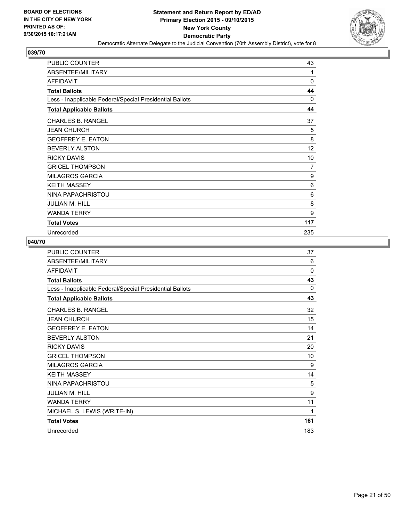

| <b>PUBLIC COUNTER</b>                                    | 43  |
|----------------------------------------------------------|-----|
| ABSENTEE/MILITARY                                        | 1   |
| AFFIDAVIT                                                | 0   |
| <b>Total Ballots</b>                                     | 44  |
| Less - Inapplicable Federal/Special Presidential Ballots | 0   |
| <b>Total Applicable Ballots</b>                          | 44  |
| <b>CHARLES B. RANGEL</b>                                 | 37  |
| <b>JEAN CHURCH</b>                                       | 5   |
| <b>GEOFFREY E. EATON</b>                                 | 8   |
| <b>BEVERLY ALSTON</b>                                    | 12  |
| <b>RICKY DAVIS</b>                                       | 10  |
| <b>GRICEL THOMPSON</b>                                   | 7   |
| <b>MILAGROS GARCIA</b>                                   | 9   |
| <b>KEITH MASSEY</b>                                      | 6   |
| NINA PAPACHRISTOU                                        | 6   |
| JULIAN M. HILL                                           | 8   |
| <b>WANDA TERRY</b>                                       | 9   |
| <b>Total Votes</b>                                       | 117 |
| Unrecorded                                               | 235 |

| <b>PUBLIC COUNTER</b>                                    | 37       |
|----------------------------------------------------------|----------|
| ABSENTEE/MILITARY                                        | 6        |
| <b>AFFIDAVIT</b>                                         | $\Omega$ |
| <b>Total Ballots</b>                                     | 43       |
| Less - Inapplicable Federal/Special Presidential Ballots | $\Omega$ |
| <b>Total Applicable Ballots</b>                          | 43       |
| <b>CHARLES B. RANGEL</b>                                 | 32       |
| <b>JEAN CHURCH</b>                                       | 15       |
| <b>GEOFFREY E. EATON</b>                                 | 14       |
| <b>BEVERLY ALSTON</b>                                    | 21       |
| <b>RICKY DAVIS</b>                                       | 20       |
| <b>GRICEL THOMPSON</b>                                   | 10       |
| <b>MILAGROS GARCIA</b>                                   | 9        |
| <b>KEITH MASSEY</b>                                      | 14       |
| NINA PAPACHRISTOU                                        | 5        |
| <b>JULIAN M. HILL</b>                                    | 9        |
| <b>WANDA TERRY</b>                                       | 11       |
| MICHAEL S. LEWIS (WRITE-IN)                              | 1        |
| <b>Total Votes</b>                                       | 161      |
| Unrecorded                                               | 183      |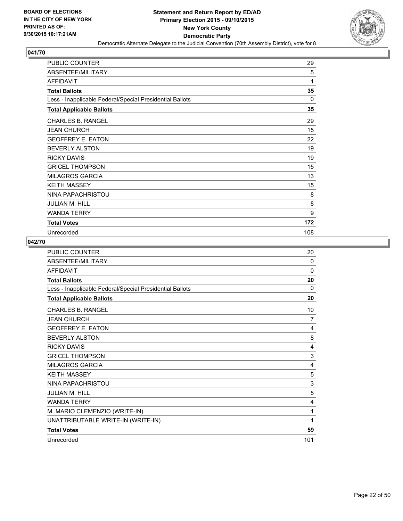

| <b>PUBLIC COUNTER</b>                                    | 29       |
|----------------------------------------------------------|----------|
| ABSENTEE/MILITARY                                        | 5        |
| <b>AFFIDAVIT</b>                                         | 1        |
| <b>Total Ballots</b>                                     | 35       |
| Less - Inapplicable Federal/Special Presidential Ballots | $\Omega$ |
| <b>Total Applicable Ballots</b>                          | 35       |
| <b>CHARLES B. RANGEL</b>                                 | 29       |
| <b>JEAN CHURCH</b>                                       | 15       |
| <b>GEOFFREY E. EATON</b>                                 | 22       |
| <b>BEVERLY ALSTON</b>                                    | 19       |
| <b>RICKY DAVIS</b>                                       | 19       |
| <b>GRICEL THOMPSON</b>                                   | 15       |
| <b>MILAGROS GARCIA</b>                                   | 13       |
| <b>KEITH MASSEY</b>                                      | 15       |
| NINA PAPACHRISTOU                                        | 8        |
| <b>JULIAN M. HILL</b>                                    | 8        |
| <b>WANDA TERRY</b>                                       | 9        |
| <b>Total Votes</b>                                       | 172      |
| Unrecorded                                               | 108      |

| PUBLIC COUNTER                                           | 20       |
|----------------------------------------------------------|----------|
| ABSENTEE/MILITARY                                        | $\Omega$ |
| <b>AFFIDAVIT</b>                                         | $\Omega$ |
| <b>Total Ballots</b>                                     | 20       |
| Less - Inapplicable Federal/Special Presidential Ballots | 0        |
| <b>Total Applicable Ballots</b>                          | 20       |
| <b>CHARLES B. RANGEL</b>                                 | 10       |
| <b>JEAN CHURCH</b>                                       | 7        |
| <b>GEOFFREY E. EATON</b>                                 | 4        |
| <b>BEVERLY ALSTON</b>                                    | 8        |
| <b>RICKY DAVIS</b>                                       | 4        |
| <b>GRICEL THOMPSON</b>                                   | 3        |
| <b>MILAGROS GARCIA</b>                                   | 4        |
| <b>KEITH MASSEY</b>                                      | 5        |
| NINA PAPACHRISTOU                                        | 3        |
| <b>JULIAN M. HILL</b>                                    | 5        |
| <b>WANDA TERRY</b>                                       | 4        |
| M. MARIO CLEMENZIO (WRITE-IN)                            | 1        |
| UNATTRIBUTABLE WRITE-IN (WRITE-IN)                       | 1        |
| <b>Total Votes</b>                                       | 59       |
| Unrecorded                                               | 101      |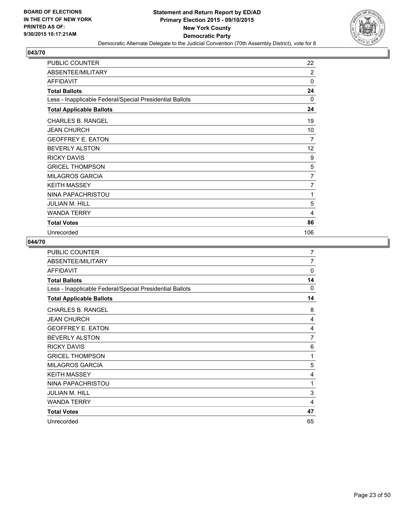

| <b>PUBLIC COUNTER</b>                                    | 22             |
|----------------------------------------------------------|----------------|
| ABSENTEE/MILITARY                                        | $\overline{2}$ |
| AFFIDAVIT                                                | 0              |
| <b>Total Ballots</b>                                     | 24             |
| Less - Inapplicable Federal/Special Presidential Ballots | 0              |
| <b>Total Applicable Ballots</b>                          | 24             |
| <b>CHARLES B. RANGEL</b>                                 | 19             |
| <b>JEAN CHURCH</b>                                       | 10             |
| <b>GEOFFREY E. EATON</b>                                 | 7              |
| <b>BEVERLY ALSTON</b>                                    | 12             |
| <b>RICKY DAVIS</b>                                       | 9              |
| <b>GRICEL THOMPSON</b>                                   | 5              |
| <b>MILAGROS GARCIA</b>                                   | 7              |
| <b>KEITH MASSEY</b>                                      | 7              |
| NINA PAPACHRISTOU                                        | 1              |
| JULIAN M. HILL                                           | 5              |
| <b>WANDA TERRY</b>                                       | 4              |
| <b>Total Votes</b>                                       | 86             |
| Unrecorded                                               | 106            |

| PUBLIC COUNTER                                           | 7        |
|----------------------------------------------------------|----------|
| ABSENTEE/MILITARY                                        | 7        |
| <b>AFFIDAVIT</b>                                         | 0        |
| <b>Total Ballots</b>                                     | 14       |
| Less - Inapplicable Federal/Special Presidential Ballots | $\Omega$ |
| <b>Total Applicable Ballots</b>                          | 14       |
| <b>CHARLES B. RANGEL</b>                                 | 8        |
| <b>JEAN CHURCH</b>                                       | 4        |
| <b>GEOFFREY E. EATON</b>                                 | 4        |
| <b>BEVERLY ALSTON</b>                                    | 7        |
| <b>RICKY DAVIS</b>                                       | 6        |
| <b>GRICEL THOMPSON</b>                                   | 1        |
| <b>MILAGROS GARCIA</b>                                   | 5        |
| <b>KEITH MASSEY</b>                                      | 4        |
| NINA PAPACHRISTOU                                        | 1        |
| <b>JULIAN M. HILL</b>                                    | 3        |
| <b>WANDA TERRY</b>                                       | 4        |
| <b>Total Votes</b>                                       | 47       |
| Unrecorded                                               | 65       |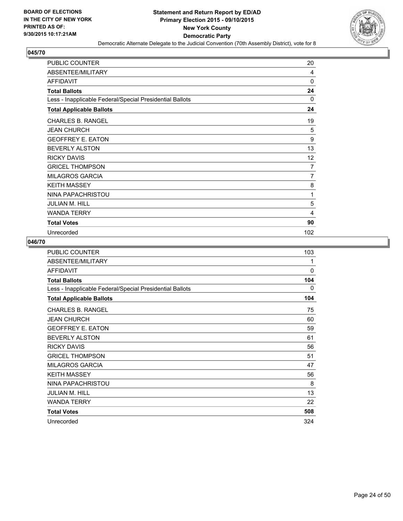

| <b>PUBLIC COUNTER</b>                                    | 20  |
|----------------------------------------------------------|-----|
| ABSENTEE/MILITARY                                        | 4   |
| AFFIDAVIT                                                | 0   |
| <b>Total Ballots</b>                                     | 24  |
| Less - Inapplicable Federal/Special Presidential Ballots | 0   |
| <b>Total Applicable Ballots</b>                          | 24  |
| <b>CHARLES B. RANGEL</b>                                 | 19  |
| <b>JEAN CHURCH</b>                                       | 5   |
| <b>GEOFFREY E. EATON</b>                                 | 9   |
| <b>BEVERLY ALSTON</b>                                    | 13  |
| <b>RICKY DAVIS</b>                                       | 12  |
| <b>GRICEL THOMPSON</b>                                   | 7   |
| <b>MILAGROS GARCIA</b>                                   | 7   |
| <b>KEITH MASSEY</b>                                      | 8   |
| NINA PAPACHRISTOU                                        | 1   |
| JULIAN M. HILL                                           | 5   |
| <b>WANDA TERRY</b>                                       | 4   |
| <b>Total Votes</b>                                       | 90  |
| Unrecorded                                               | 102 |

| <b>PUBLIC COUNTER</b>                                    | 103 |
|----------------------------------------------------------|-----|
| ABSENTEE/MILITARY                                        | 1   |
| <b>AFFIDAVIT</b>                                         | 0   |
| <b>Total Ballots</b>                                     | 104 |
| Less - Inapplicable Federal/Special Presidential Ballots | 0   |
| <b>Total Applicable Ballots</b>                          | 104 |
| <b>CHARLES B. RANGEL</b>                                 | 75  |
| <b>JEAN CHURCH</b>                                       | 60  |
| <b>GEOFFREY E. EATON</b>                                 | 59  |
| <b>BEVERLY ALSTON</b>                                    | 61  |
| <b>RICKY DAVIS</b>                                       | 56  |
| <b>GRICEL THOMPSON</b>                                   | 51  |
| <b>MILAGROS GARCIA</b>                                   | 47  |
| <b>KEITH MASSEY</b>                                      | 56  |
| NINA PAPACHRISTOU                                        | 8   |
| <b>JULIAN M. HILL</b>                                    | 13  |
| <b>WANDA TERRY</b>                                       | 22  |
| <b>Total Votes</b>                                       | 508 |
| Unrecorded                                               | 324 |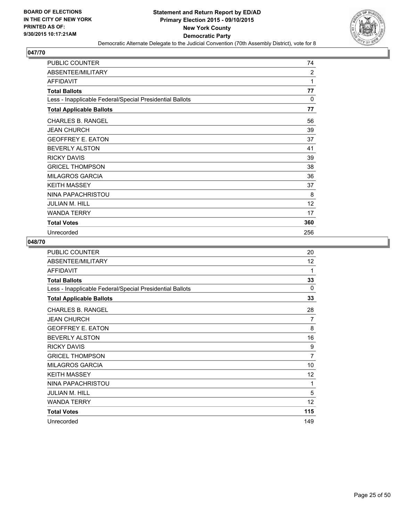

| <b>PUBLIC COUNTER</b>                                    | 74             |
|----------------------------------------------------------|----------------|
| ABSENTEE/MILITARY                                        | $\overline{2}$ |
| <b>AFFIDAVIT</b>                                         | 1              |
| <b>Total Ballots</b>                                     | 77             |
| Less - Inapplicable Federal/Special Presidential Ballots | 0              |
| <b>Total Applicable Ballots</b>                          | 77             |
| <b>CHARLES B. RANGEL</b>                                 | 56             |
| <b>JEAN CHURCH</b>                                       | 39             |
| <b>GEOFFREY E. EATON</b>                                 | 37             |
| <b>BEVERLY ALSTON</b>                                    | 41             |
| <b>RICKY DAVIS</b>                                       | 39             |
| <b>GRICEL THOMPSON</b>                                   | 38             |
| <b>MILAGROS GARCIA</b>                                   | 36             |
| <b>KEITH MASSEY</b>                                      | 37             |
| NINA PAPACHRISTOU                                        | 8              |
| <b>JULIAN M. HILL</b>                                    | 12             |
| <b>WANDA TERRY</b>                                       | 17             |
| <b>Total Votes</b>                                       | 360            |
| Unrecorded                                               | 256            |

| <b>PUBLIC COUNTER</b>                                    | 20             |
|----------------------------------------------------------|----------------|
| ABSENTEE/MILITARY                                        | 12             |
| <b>AFFIDAVIT</b>                                         | 1              |
| <b>Total Ballots</b>                                     | 33             |
| Less - Inapplicable Federal/Special Presidential Ballots | $\Omega$       |
| <b>Total Applicable Ballots</b>                          | 33             |
| <b>CHARLES B. RANGEL</b>                                 | 28             |
| <b>JEAN CHURCH</b>                                       | 7              |
| <b>GEOFFREY E. EATON</b>                                 | 8              |
| <b>BEVERLY ALSTON</b>                                    | 16             |
| <b>RICKY DAVIS</b>                                       | 9              |
| <b>GRICEL THOMPSON</b>                                   | $\overline{7}$ |
| <b>MILAGROS GARCIA</b>                                   | 10             |
| <b>KEITH MASSEY</b>                                      | 12             |
| NINA PAPACHRISTOU                                        | 1              |
| <b>JULIAN M. HILL</b>                                    | 5              |
| <b>WANDA TERRY</b>                                       | 12             |
| <b>Total Votes</b>                                       | 115            |
| Unrecorded                                               | 149            |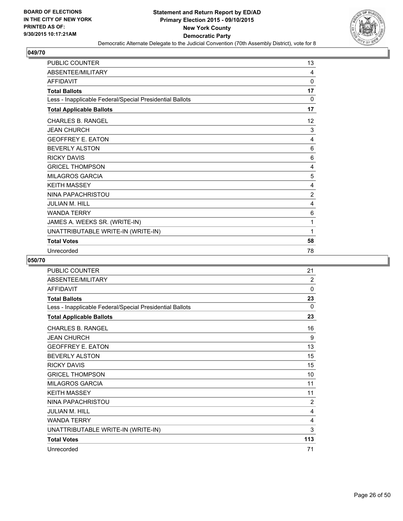

| PUBLIC COUNTER                                           | 13             |
|----------------------------------------------------------|----------------|
| ABSENTEE/MILITARY                                        | 4              |
| <b>AFFIDAVIT</b>                                         | $\Omega$       |
| <b>Total Ballots</b>                                     | 17             |
| Less - Inapplicable Federal/Special Presidential Ballots | 0              |
| <b>Total Applicable Ballots</b>                          | 17             |
| CHARLES B. RANGEL                                        | 12             |
| <b>JEAN CHURCH</b>                                       | 3              |
| <b>GEOFFREY E. EATON</b>                                 | 4              |
| <b>BEVERLY ALSTON</b>                                    | 6              |
| <b>RICKY DAVIS</b>                                       | 6              |
| <b>GRICEL THOMPSON</b>                                   | 4              |
| <b>MILAGROS GARCIA</b>                                   | 5              |
| <b>KEITH MASSEY</b>                                      | 4              |
| NINA PAPACHRISTOU                                        | $\overline{2}$ |
| <b>JULIAN M. HILL</b>                                    | 4              |
| <b>WANDA TERRY</b>                                       | 6              |
| JAMES A. WEEKS SR. (WRITE-IN)                            | 1              |
| UNATTRIBUTABLE WRITE-IN (WRITE-IN)                       | 1              |
| <b>Total Votes</b>                                       | 58             |
| Unrecorded                                               | 78             |

| <b>PUBLIC COUNTER</b>                                    | 21             |
|----------------------------------------------------------|----------------|
| ABSENTEE/MILITARY                                        | $\overline{2}$ |
| <b>AFFIDAVIT</b>                                         | 0              |
| <b>Total Ballots</b>                                     | 23             |
| Less - Inapplicable Federal/Special Presidential Ballots | $\Omega$       |
| <b>Total Applicable Ballots</b>                          | 23             |
| CHARLES B. RANGEL                                        | 16             |
| <b>JEAN CHURCH</b>                                       | 9              |
| <b>GEOFFREY E. EATON</b>                                 | 13             |
| <b>BEVERLY ALSTON</b>                                    | 15             |
| <b>RICKY DAVIS</b>                                       | 15             |
| <b>GRICEL THOMPSON</b>                                   | 10             |
| <b>MILAGROS GARCIA</b>                                   | 11             |
| <b>KEITH MASSEY</b>                                      | 11             |
| NINA PAPACHRISTOU                                        | $\overline{2}$ |
| <b>JULIAN M. HILL</b>                                    | 4              |
| <b>WANDA TERRY</b>                                       | 4              |
| UNATTRIBUTABLE WRITE-IN (WRITE-IN)                       | 3              |
| <b>Total Votes</b>                                       | 113            |
| Unrecorded                                               | 71             |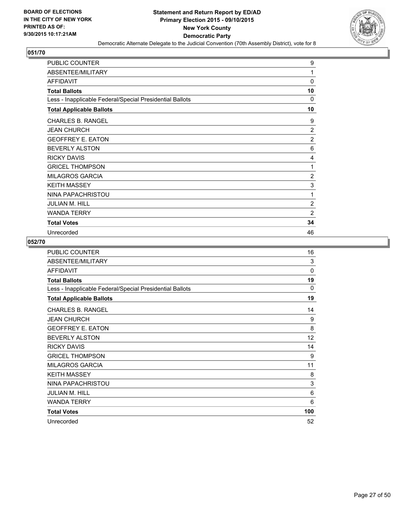

| <b>PUBLIC COUNTER</b>                                    | 9              |
|----------------------------------------------------------|----------------|
| ABSENTEE/MILITARY                                        | 1              |
| <b>AFFIDAVIT</b>                                         | 0              |
| <b>Total Ballots</b>                                     | 10             |
| Less - Inapplicable Federal/Special Presidential Ballots | $\Omega$       |
| <b>Total Applicable Ballots</b>                          | 10             |
| <b>CHARLES B. RANGEL</b>                                 | 9              |
| <b>JEAN CHURCH</b>                                       | $\overline{2}$ |
| <b>GEOFFREY E. EATON</b>                                 | $\overline{2}$ |
| <b>BEVERLY ALSTON</b>                                    | 6              |
| <b>RICKY DAVIS</b>                                       | 4              |
| <b>GRICEL THOMPSON</b>                                   | 1              |
| <b>MILAGROS GARCIA</b>                                   | $\overline{2}$ |
| <b>KEITH MASSEY</b>                                      | 3              |
| NINA PAPACHRISTOU                                        | 1              |
| <b>JULIAN M. HILL</b>                                    | $\overline{2}$ |
| <b>WANDA TERRY</b>                                       | $\overline{2}$ |
| <b>Total Votes</b>                                       | 34             |
| Unrecorded                                               | 46             |

| <b>PUBLIC COUNTER</b>                                    | 16  |
|----------------------------------------------------------|-----|
| ABSENTEE/MILITARY                                        | 3   |
| <b>AFFIDAVIT</b>                                         | 0   |
| <b>Total Ballots</b>                                     | 19  |
| Less - Inapplicable Federal/Special Presidential Ballots | 0   |
| <b>Total Applicable Ballots</b>                          | 19  |
| <b>CHARLES B. RANGEL</b>                                 | 14  |
| <b>JEAN CHURCH</b>                                       | 9   |
| <b>GEOFFREY E. EATON</b>                                 | 8   |
| <b>BEVERLY ALSTON</b>                                    | 12  |
| <b>RICKY DAVIS</b>                                       | 14  |
| <b>GRICEL THOMPSON</b>                                   | 9   |
| <b>MILAGROS GARCIA</b>                                   | 11  |
| <b>KEITH MASSEY</b>                                      | 8   |
| NINA PAPACHRISTOU                                        | 3   |
| <b>JULIAN M. HILL</b>                                    | 6   |
| <b>WANDA TERRY</b>                                       | 6   |
| <b>Total Votes</b>                                       | 100 |
| Unrecorded                                               | 52  |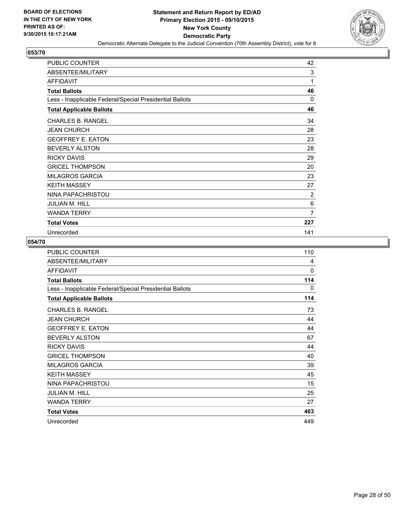

| <b>PUBLIC COUNTER</b>                                    | 42       |
|----------------------------------------------------------|----------|
| ABSENTEE/MILITARY                                        | 3        |
| <b>AFFIDAVIT</b>                                         | 1        |
| <b>Total Ballots</b>                                     | 46       |
| Less - Inapplicable Federal/Special Presidential Ballots | $\Omega$ |
| <b>Total Applicable Ballots</b>                          | 46       |
| <b>CHARLES B. RANGEL</b>                                 | 34       |
| <b>JEAN CHURCH</b>                                       | 28       |
| <b>GEOFFREY E. EATON</b>                                 | 23       |
| <b>BEVERLY ALSTON</b>                                    | 28       |
| <b>RICKY DAVIS</b>                                       | 29       |
| <b>GRICEL THOMPSON</b>                                   | 20       |
| <b>MILAGROS GARCIA</b>                                   | 23       |
| <b>KEITH MASSEY</b>                                      | 27       |
| NINA PAPACHRISTOU                                        | 2        |
| JULIAN M. HILL                                           | 6        |
| <b>WANDA TERRY</b>                                       | 7        |
| <b>Total Votes</b>                                       | 227      |
| Unrecorded                                               | 141      |

| PUBLIC COUNTER                                           | 110 |
|----------------------------------------------------------|-----|
| ABSENTEE/MILITARY                                        | 4   |
| <b>AFFIDAVIT</b>                                         | 0   |
| <b>Total Ballots</b>                                     | 114 |
| Less - Inapplicable Federal/Special Presidential Ballots | 0   |
| <b>Total Applicable Ballots</b>                          | 114 |
| <b>CHARLES B. RANGEL</b>                                 | 73  |
| <b>JEAN CHURCH</b>                                       | 44  |
| <b>GEOFFREY E. EATON</b>                                 | 44  |
| <b>BEVERLY ALSTON</b>                                    | 67  |
| <b>RICKY DAVIS</b>                                       | 44  |
| <b>GRICEL THOMPSON</b>                                   | 40  |
| <b>MILAGROS GARCIA</b>                                   | 39  |
| <b>KEITH MASSEY</b>                                      | 45  |
| NINA PAPACHRISTOU                                        | 15  |
| <b>JULIAN M. HILL</b>                                    | 25  |
| <b>WANDA TERRY</b>                                       | 27  |
| <b>Total Votes</b>                                       | 463 |
| Unrecorded                                               | 449 |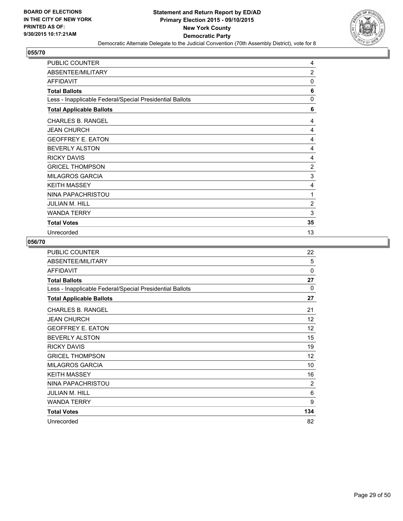

| <b>PUBLIC COUNTER</b>                                    | 4              |
|----------------------------------------------------------|----------------|
| ABSENTEE/MILITARY                                        | $\overline{2}$ |
| AFFIDAVIT                                                | 0              |
| <b>Total Ballots</b>                                     | 6              |
| Less - Inapplicable Federal/Special Presidential Ballots | 0              |
| <b>Total Applicable Ballots</b>                          | 6              |
| <b>CHARLES B. RANGEL</b>                                 | 4              |
| <b>JEAN CHURCH</b>                                       | 4              |
| <b>GEOFFREY E. EATON</b>                                 | 4              |
| <b>BEVERLY ALSTON</b>                                    | 4              |
| <b>RICKY DAVIS</b>                                       | 4              |
| <b>GRICEL THOMPSON</b>                                   | $\overline{2}$ |
| <b>MILAGROS GARCIA</b>                                   | 3              |
| <b>KEITH MASSEY</b>                                      | 4              |
| NINA PAPACHRISTOU                                        | 1              |
| JULIAN M. HILL                                           | $\overline{c}$ |
| <b>WANDA TERRY</b>                                       | 3              |
| <b>Total Votes</b>                                       | 35             |
| Unrecorded                                               | 13             |

| <b>PUBLIC COUNTER</b>                                    | 22       |
|----------------------------------------------------------|----------|
| ABSENTEE/MILITARY                                        | 5        |
| <b>AFFIDAVIT</b>                                         | $\Omega$ |
| <b>Total Ballots</b>                                     | 27       |
| Less - Inapplicable Federal/Special Presidential Ballots | 0        |
| <b>Total Applicable Ballots</b>                          | 27       |
| <b>CHARLES B. RANGEL</b>                                 | 21       |
| <b>JEAN CHURCH</b>                                       | 12       |
| <b>GEOFFREY E. EATON</b>                                 | 12       |
| <b>BEVERLY ALSTON</b>                                    | 15       |
| <b>RICKY DAVIS</b>                                       | 19       |
| <b>GRICEL THOMPSON</b>                                   | 12       |
| <b>MILAGROS GARCIA</b>                                   | 10       |
| <b>KEITH MASSEY</b>                                      | 16       |
| NINA PAPACHRISTOU                                        | 2        |
| <b>JULIAN M. HILL</b>                                    | 6        |
| <b>WANDA TERRY</b>                                       | 9        |
| <b>Total Votes</b>                                       | 134      |
| Unrecorded                                               | 82       |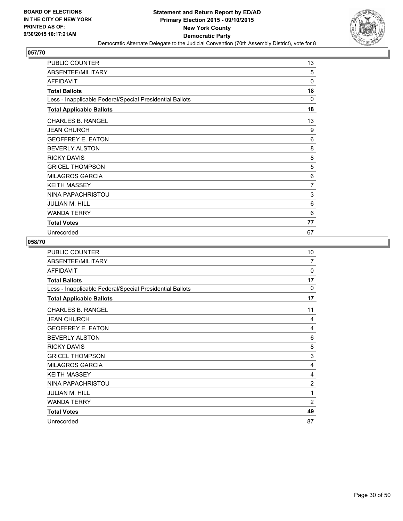

| <b>PUBLIC COUNTER</b>                                    | 13          |
|----------------------------------------------------------|-------------|
| ABSENTEE/MILITARY                                        | 5           |
| <b>AFFIDAVIT</b>                                         | $\mathbf 0$ |
| <b>Total Ballots</b>                                     | 18          |
| Less - Inapplicable Federal/Special Presidential Ballots | $\Omega$    |
| <b>Total Applicable Ballots</b>                          | 18          |
| <b>CHARLES B. RANGEL</b>                                 | 13          |
| <b>JEAN CHURCH</b>                                       | 9           |
| <b>GEOFFREY E. EATON</b>                                 | 6           |
| <b>BEVERLY ALSTON</b>                                    | 8           |
| <b>RICKY DAVIS</b>                                       | 8           |
| <b>GRICEL THOMPSON</b>                                   | 5           |
| <b>MILAGROS GARCIA</b>                                   | 6           |
| <b>KEITH MASSEY</b>                                      | 7           |
| NINA PAPACHRISTOU                                        | 3           |
| <b>JULIAN M. HILL</b>                                    | 6           |
| <b>WANDA TERRY</b>                                       | 6           |
| <b>Total Votes</b>                                       | 77          |
| Unrecorded                                               | 67          |

| <b>PUBLIC COUNTER</b>                                    | 10             |
|----------------------------------------------------------|----------------|
| ABSENTEE/MILITARY                                        | $\overline{7}$ |
| <b>AFFIDAVIT</b>                                         | 0              |
| <b>Total Ballots</b>                                     | 17             |
| Less - Inapplicable Federal/Special Presidential Ballots | $\Omega$       |
| <b>Total Applicable Ballots</b>                          | 17             |
| <b>CHARLES B. RANGEL</b>                                 | 11             |
| <b>JEAN CHURCH</b>                                       | 4              |
| <b>GEOFFREY E. EATON</b>                                 | 4              |
| <b>BEVERLY ALSTON</b>                                    | 6              |
| <b>RICKY DAVIS</b>                                       | 8              |
| <b>GRICEL THOMPSON</b>                                   | 3              |
| <b>MILAGROS GARCIA</b>                                   | 4              |
| <b>KEITH MASSEY</b>                                      | 4              |
| NINA PAPACHRISTOU                                        | 2              |
| <b>JULIAN M. HILL</b>                                    | 1              |
| <b>WANDA TERRY</b>                                       | $\overline{2}$ |
| <b>Total Votes</b>                                       | 49             |
| Unrecorded                                               | 87             |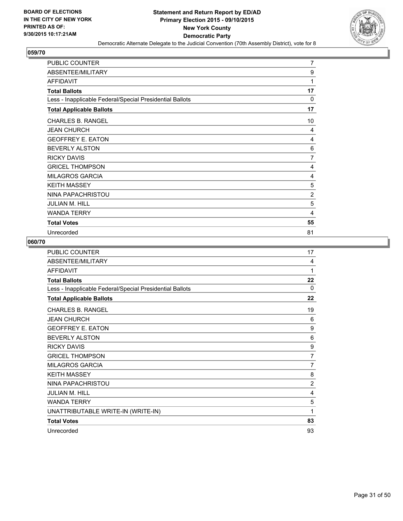

| <b>PUBLIC COUNTER</b>                                    | $\overline{7}$ |
|----------------------------------------------------------|----------------|
| ABSENTEE/MILITARY                                        | 9              |
| <b>AFFIDAVIT</b>                                         | 1              |
| <b>Total Ballots</b>                                     | 17             |
| Less - Inapplicable Federal/Special Presidential Ballots | $\Omega$       |
| <b>Total Applicable Ballots</b>                          | 17             |
| <b>CHARLES B. RANGEL</b>                                 | 10             |
| <b>JEAN CHURCH</b>                                       | 4              |
| <b>GEOFFREY E. EATON</b>                                 | 4              |
| <b>BEVERLY ALSTON</b>                                    | 6              |
| <b>RICKY DAVIS</b>                                       | 7              |
| <b>GRICEL THOMPSON</b>                                   | 4              |
| <b>MILAGROS GARCIA</b>                                   | 4              |
| <b>KEITH MASSEY</b>                                      | 5              |
| NINA PAPACHRISTOU                                        | $\overline{2}$ |
| <b>JULIAN M. HILL</b>                                    | 5              |
| <b>WANDA TERRY</b>                                       | 4              |
| <b>Total Votes</b>                                       | 55             |
| Unrecorded                                               | 81             |

| <b>PUBLIC COUNTER</b>                                    | 17       |
|----------------------------------------------------------|----------|
| ABSENTEE/MILITARY                                        | 4        |
| <b>AFFIDAVIT</b>                                         | 1        |
| <b>Total Ballots</b>                                     | 22       |
| Less - Inapplicable Federal/Special Presidential Ballots | $\Omega$ |
| <b>Total Applicable Ballots</b>                          | 22       |
| <b>CHARLES B. RANGEL</b>                                 | 19       |
| <b>JEAN CHURCH</b>                                       | 6        |
| <b>GEOFFREY E. EATON</b>                                 | 9        |
| <b>BEVERLY ALSTON</b>                                    | 6        |
| <b>RICKY DAVIS</b>                                       | 9        |
| <b>GRICEL THOMPSON</b>                                   | 7        |
| <b>MILAGROS GARCIA</b>                                   | 7        |
| <b>KEITH MASSEY</b>                                      | 8        |
| NINA PAPACHRISTOU                                        | 2        |
| <b>JULIAN M. HILL</b>                                    | 4        |
| <b>WANDA TERRY</b>                                       | 5        |
| UNATTRIBUTABLE WRITE-IN (WRITE-IN)                       | 1        |
| <b>Total Votes</b>                                       | 83       |
| Unrecorded                                               | 93       |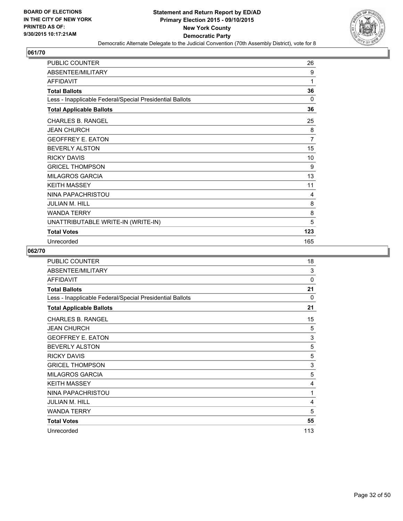

| <b>PUBLIC COUNTER</b>                                    | 26  |
|----------------------------------------------------------|-----|
| ABSENTEE/MILITARY                                        | 9   |
| AFFIDAVIT                                                | 1   |
| <b>Total Ballots</b>                                     | 36  |
| Less - Inapplicable Federal/Special Presidential Ballots | 0   |
| <b>Total Applicable Ballots</b>                          | 36  |
| <b>CHARLES B. RANGEL</b>                                 | 25  |
| <b>JEAN CHURCH</b>                                       | 8   |
| <b>GEOFFREY E. EATON</b>                                 | 7   |
| <b>BEVERLY ALSTON</b>                                    | 15  |
| <b>RICKY DAVIS</b>                                       | 10  |
| <b>GRICEL THOMPSON</b>                                   | 9   |
| <b>MILAGROS GARCIA</b>                                   | 13  |
| <b>KEITH MASSEY</b>                                      | 11  |
| NINA PAPACHRISTOU                                        | 4   |
| <b>JULIAN M. HILL</b>                                    | 8   |
| <b>WANDA TERRY</b>                                       | 8   |
| UNATTRIBUTABLE WRITE-IN (WRITE-IN)                       | 5   |
| <b>Total Votes</b>                                       | 123 |
| Unrecorded                                               | 165 |

| <b>PUBLIC COUNTER</b>                                    | 18           |
|----------------------------------------------------------|--------------|
| ABSENTEE/MILITARY                                        | 3            |
| <b>AFFIDAVIT</b>                                         | $\mathbf{0}$ |
| <b>Total Ballots</b>                                     | 21           |
| Less - Inapplicable Federal/Special Presidential Ballots | $\mathbf{0}$ |
| <b>Total Applicable Ballots</b>                          | 21           |
| <b>CHARLES B. RANGEL</b>                                 | 15           |
| <b>JEAN CHURCH</b>                                       | 5            |
| <b>GEOFFREY E. EATON</b>                                 | 3            |
| <b>BEVERLY ALSTON</b>                                    | 5            |
| <b>RICKY DAVIS</b>                                       | 5            |
| <b>GRICEL THOMPSON</b>                                   | 3            |
| <b>MILAGROS GARCIA</b>                                   | 5            |
| <b>KEITH MASSEY</b>                                      | 4            |
| NINA PAPACHRISTOU                                        | 1            |
| <b>JULIAN M. HILL</b>                                    | 4            |
| <b>WANDA TERRY</b>                                       | 5            |
| <b>Total Votes</b>                                       | 55           |
| Unrecorded                                               | 113          |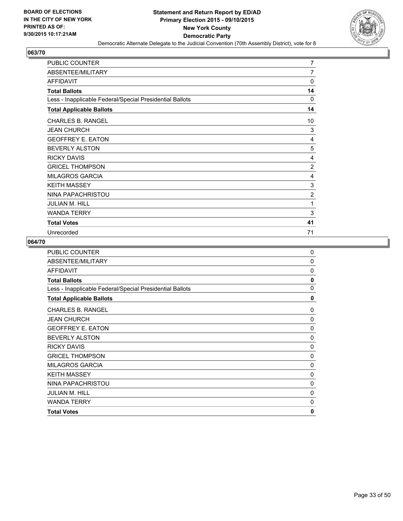

| <b>PUBLIC COUNTER</b>                                    | $\overline{7}$ |
|----------------------------------------------------------|----------------|
| ABSENTEE/MILITARY                                        | 7              |
| <b>AFFIDAVIT</b>                                         | $\Omega$       |
| <b>Total Ballots</b>                                     | 14             |
| Less - Inapplicable Federal/Special Presidential Ballots | 0              |
| <b>Total Applicable Ballots</b>                          | 14             |
| <b>CHARLES B. RANGEL</b>                                 | 10             |
| <b>JEAN CHURCH</b>                                       | 3              |
| <b>GEOFFREY E. EATON</b>                                 | 4              |
| <b>BEVERLY ALSTON</b>                                    | 5              |
| <b>RICKY DAVIS</b>                                       | 4              |
| <b>GRICEL THOMPSON</b>                                   | $\overline{2}$ |
| <b>MILAGROS GARCIA</b>                                   | 4              |
| <b>KEITH MASSEY</b>                                      | 3              |
| NINA PAPACHRISTOU                                        | $\overline{2}$ |
| <b>JULIAN M. HILL</b>                                    | 1              |
| <b>WANDA TERRY</b>                                       | 3              |
| <b>Total Votes</b>                                       | 41             |
| Unrecorded                                               | 71             |

| <b>PUBLIC COUNTER</b>                                    | $\mathbf 0$ |
|----------------------------------------------------------|-------------|
| ABSENTEE/MILITARY                                        | $\Omega$    |
| <b>AFFIDAVIT</b>                                         | $\Omega$    |
| <b>Total Ballots</b>                                     | 0           |
| Less - Inapplicable Federal/Special Presidential Ballots | $\Omega$    |
| <b>Total Applicable Ballots</b>                          | $\mathbf 0$ |
| <b>CHARLES B. RANGEL</b>                                 | 0           |
| <b>JEAN CHURCH</b>                                       | $\mathbf 0$ |
| <b>GEOFFREY E. EATON</b>                                 | $\mathbf 0$ |
| <b>BEVERLY ALSTON</b>                                    | $\mathbf 0$ |
| <b>RICKY DAVIS</b>                                       | $\mathbf 0$ |
| <b>GRICEL THOMPSON</b>                                   | $\mathbf 0$ |
| <b>MILAGROS GARCIA</b>                                   | 0           |
| <b>KEITH MASSEY</b>                                      | $\mathbf 0$ |
| NINA PAPACHRISTOU                                        | 0           |
| JULIAN M. HILL                                           | $\mathbf 0$ |
| <b>WANDA TERRY</b>                                       | 0           |
| <b>Total Votes</b>                                       | 0           |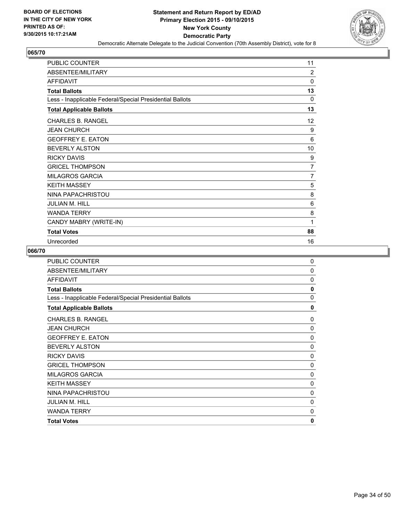

| <b>PUBLIC COUNTER</b>                                    | 11             |
|----------------------------------------------------------|----------------|
| ABSENTEE/MILITARY                                        | 2              |
| AFFIDAVIT                                                | $\Omega$       |
| <b>Total Ballots</b>                                     | 13             |
| Less - Inapplicable Federal/Special Presidential Ballots | 0              |
| <b>Total Applicable Ballots</b>                          | 13             |
| <b>CHARLES B. RANGEL</b>                                 | 12             |
| <b>JEAN CHURCH</b>                                       | 9              |
| <b>GEOFFREY E. EATON</b>                                 | 6              |
| <b>BEVERLY ALSTON</b>                                    | 10             |
| <b>RICKY DAVIS</b>                                       | 9              |
| <b>GRICEL THOMPSON</b>                                   | $\overline{7}$ |
| <b>MILAGROS GARCIA</b>                                   | 7              |
| <b>KEITH MASSEY</b>                                      | 5              |
| NINA PAPACHRISTOU                                        | 8              |
| <b>JULIAN M. HILL</b>                                    | 6              |
| <b>WANDA TERRY</b>                                       | 8              |
| CANDY MABRY (WRITE-IN)                                   | 1              |
| <b>Total Votes</b>                                       | 88             |
| Unrecorded                                               | 16             |

| <b>PUBLIC COUNTER</b>                                    | 0            |
|----------------------------------------------------------|--------------|
| ABSENTEE/MILITARY                                        | 0            |
| <b>AFFIDAVIT</b>                                         | $\Omega$     |
| <b>Total Ballots</b>                                     | $\mathbf{0}$ |
| Less - Inapplicable Federal/Special Presidential Ballots | 0            |
| <b>Total Applicable Ballots</b>                          | 0            |
| <b>CHARLES B. RANGEL</b>                                 | 0            |
| <b>JEAN CHURCH</b>                                       | 0            |
| <b>GEOFFREY E. EATON</b>                                 | 0            |
| <b>BEVERLY ALSTON</b>                                    | $\mathbf 0$  |
| <b>RICKY DAVIS</b>                                       | 0            |
| <b>GRICEL THOMPSON</b>                                   | 0            |
| <b>MILAGROS GARCIA</b>                                   | 0            |
| <b>KEITH MASSEY</b>                                      | 0            |
| NINA PAPACHRISTOU                                        | 0            |
| <b>JULIAN M. HILL</b>                                    | 0            |
| <b>WANDA TERRY</b>                                       | 0            |
| <b>Total Votes</b>                                       | 0            |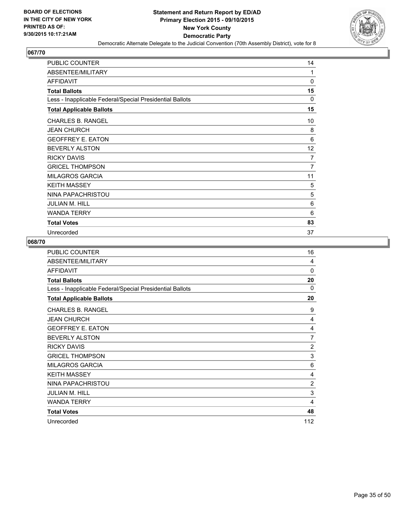

| <b>PUBLIC COUNTER</b>                                    | 14             |
|----------------------------------------------------------|----------------|
| ABSENTEE/MILITARY                                        | 1              |
| <b>AFFIDAVIT</b>                                         | $\mathbf 0$    |
| <b>Total Ballots</b>                                     | 15             |
| Less - Inapplicable Federal/Special Presidential Ballots | $\Omega$       |
| <b>Total Applicable Ballots</b>                          | 15             |
| <b>CHARLES B. RANGEL</b>                                 | 10             |
| <b>JEAN CHURCH</b>                                       | 8              |
| <b>GEOFFREY E. EATON</b>                                 | 6              |
| <b>BEVERLY ALSTON</b>                                    | 12             |
| <b>RICKY DAVIS</b>                                       | 7              |
| <b>GRICEL THOMPSON</b>                                   | $\overline{7}$ |
| <b>MILAGROS GARCIA</b>                                   | 11             |
| <b>KEITH MASSEY</b>                                      | 5              |
| NINA PAPACHRISTOU                                        | 5              |
| <b>JULIAN M. HILL</b>                                    | 6              |
| <b>WANDA TERRY</b>                                       | 6              |
| <b>Total Votes</b>                                       | 83             |
| Unrecorded                                               | 37             |

| PUBLIC COUNTER                                           | 16             |
|----------------------------------------------------------|----------------|
| ABSENTEE/MILITARY                                        | 4              |
| <b>AFFIDAVIT</b>                                         | 0              |
| <b>Total Ballots</b>                                     | 20             |
| Less - Inapplicable Federal/Special Presidential Ballots | 0              |
| <b>Total Applicable Ballots</b>                          | 20             |
| <b>CHARLES B. RANGEL</b>                                 | 9              |
| <b>JEAN CHURCH</b>                                       | 4              |
| <b>GEOFFREY E. EATON</b>                                 | 4              |
| <b>BEVERLY ALSTON</b>                                    | 7              |
| <b>RICKY DAVIS</b>                                       | $\overline{2}$ |
| <b>GRICEL THOMPSON</b>                                   | 3              |
| <b>MILAGROS GARCIA</b>                                   | 6              |
| <b>KEITH MASSEY</b>                                      | 4              |
| NINA PAPACHRISTOU                                        | $\overline{2}$ |
| <b>JULIAN M. HILL</b>                                    | 3              |
| <b>WANDA TERRY</b>                                       | 4              |
| <b>Total Votes</b>                                       | 48             |
| Unrecorded                                               | 112            |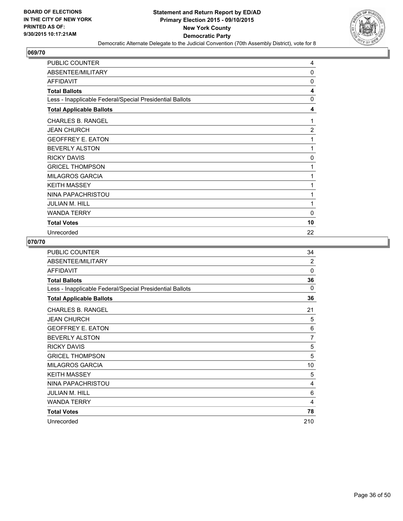

| <b>PUBLIC COUNTER</b>                                    | 4              |
|----------------------------------------------------------|----------------|
| ABSENTEE/MILITARY                                        | 0              |
| <b>AFFIDAVIT</b>                                         | $\Omega$       |
| <b>Total Ballots</b>                                     | 4              |
| Less - Inapplicable Federal/Special Presidential Ballots | 0              |
| <b>Total Applicable Ballots</b>                          | 4              |
| <b>CHARLES B. RANGEL</b>                                 | 1              |
| <b>JEAN CHURCH</b>                                       | $\overline{2}$ |
| <b>GEOFFREY E. EATON</b>                                 | 1              |
| <b>BEVERLY ALSTON</b>                                    | 1              |
| <b>RICKY DAVIS</b>                                       | 0              |
| <b>GRICEL THOMPSON</b>                                   | 1              |
| <b>MILAGROS GARCIA</b>                                   | 1              |
| <b>KEITH MASSEY</b>                                      | 1              |
| NINA PAPACHRISTOU                                        | 1              |
| <b>JULIAN M. HILL</b>                                    | 1              |
| <b>WANDA TERRY</b>                                       | 0              |
| <b>Total Votes</b>                                       | 10             |
| Unrecorded                                               | 22             |

| <b>PUBLIC COUNTER</b>                                    | 34             |
|----------------------------------------------------------|----------------|
| ABSENTEE/MILITARY                                        | $\overline{2}$ |
| <b>AFFIDAVIT</b>                                         | 0              |
| <b>Total Ballots</b>                                     | 36             |
| Less - Inapplicable Federal/Special Presidential Ballots | 0              |
| <b>Total Applicable Ballots</b>                          | 36             |
| <b>CHARLES B. RANGEL</b>                                 | 21             |
| <b>JEAN CHURCH</b>                                       | 5              |
| <b>GEOFFREY E. EATON</b>                                 | 6              |
| <b>BEVERLY ALSTON</b>                                    | 7              |
| <b>RICKY DAVIS</b>                                       | 5              |
| <b>GRICEL THOMPSON</b>                                   | 5              |
| <b>MILAGROS GARCIA</b>                                   | 10             |
| <b>KEITH MASSEY</b>                                      | 5              |
| NINA PAPACHRISTOU                                        | 4              |
| <b>JULIAN M. HILL</b>                                    | 6              |
| <b>WANDA TERRY</b>                                       | 4              |
| <b>Total Votes</b>                                       | 78             |
| Unrecorded                                               | 210            |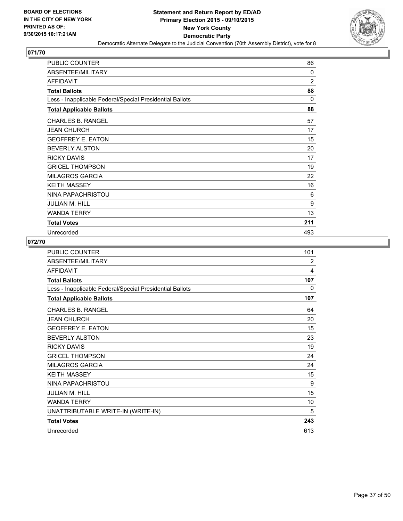

| <b>PUBLIC COUNTER</b>                                    | 86             |
|----------------------------------------------------------|----------------|
| ABSENTEE/MILITARY                                        | 0              |
| <b>AFFIDAVIT</b>                                         | $\overline{2}$ |
| <b>Total Ballots</b>                                     | 88             |
| Less - Inapplicable Federal/Special Presidential Ballots | $\Omega$       |
| <b>Total Applicable Ballots</b>                          | 88             |
| <b>CHARLES B. RANGEL</b>                                 | 57             |
| <b>JEAN CHURCH</b>                                       | 17             |
| <b>GEOFFREY E. EATON</b>                                 | 15             |
| <b>BEVERLY ALSTON</b>                                    | 20             |
| <b>RICKY DAVIS</b>                                       | 17             |
| <b>GRICEL THOMPSON</b>                                   | 19             |
| <b>MILAGROS GARCIA</b>                                   | 22             |
| <b>KEITH MASSEY</b>                                      | 16             |
| NINA PAPACHRISTOU                                        | 6              |
| <b>JULIAN M. HILL</b>                                    | 9              |
| <b>WANDA TERRY</b>                                       | 13             |
| <b>Total Votes</b>                                       | 211            |
| Unrecorded                                               | 493            |

| <b>PUBLIC COUNTER</b>                                    | 101 |
|----------------------------------------------------------|-----|
| ABSENTEE/MILITARY                                        | 2   |
| <b>AFFIDAVIT</b>                                         | 4   |
| <b>Total Ballots</b>                                     | 107 |
| Less - Inapplicable Federal/Special Presidential Ballots | 0   |
| <b>Total Applicable Ballots</b>                          | 107 |
| <b>CHARLES B. RANGEL</b>                                 | 64  |
| <b>JEAN CHURCH</b>                                       | 20  |
| <b>GEOFFREY E. EATON</b>                                 | 15  |
| <b>BEVERLY ALSTON</b>                                    | 23  |
| <b>RICKY DAVIS</b>                                       | 19  |
| <b>GRICEL THOMPSON</b>                                   | 24  |
| <b>MILAGROS GARCIA</b>                                   | 24  |
| <b>KEITH MASSEY</b>                                      | 15  |
| NINA PAPACHRISTOU                                        | 9   |
| <b>JULIAN M. HILL</b>                                    | 15  |
| <b>WANDA TERRY</b>                                       | 10  |
| UNATTRIBUTABLE WRITE-IN (WRITE-IN)                       | 5   |
| <b>Total Votes</b>                                       | 243 |
| Unrecorded                                               | 613 |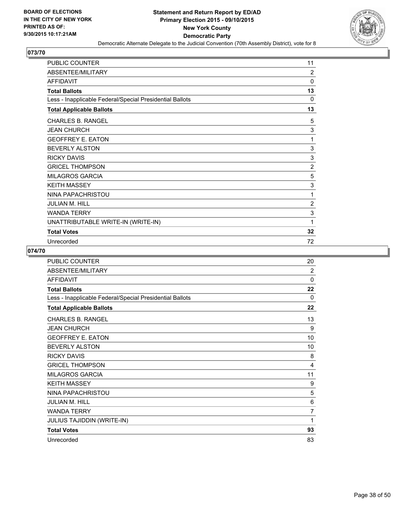

| <b>PUBLIC COUNTER</b>                                    | 11             |
|----------------------------------------------------------|----------------|
| ABSENTEE/MILITARY                                        | 2              |
| AFFIDAVIT                                                | $\Omega$       |
| <b>Total Ballots</b>                                     | 13             |
| Less - Inapplicable Federal/Special Presidential Ballots | 0              |
| <b>Total Applicable Ballots</b>                          | 13             |
| <b>CHARLES B. RANGEL</b>                                 | 5              |
| <b>JEAN CHURCH</b>                                       | 3              |
| <b>GEOFFREY E. EATON</b>                                 | 1              |
| <b>BEVERLY ALSTON</b>                                    | 3              |
| <b>RICKY DAVIS</b>                                       | 3              |
| <b>GRICEL THOMPSON</b>                                   | $\overline{2}$ |
| <b>MILAGROS GARCIA</b>                                   | 5              |
| <b>KEITH MASSEY</b>                                      | 3              |
| NINA PAPACHRISTOU                                        | 1              |
| <b>JULIAN M. HILL</b>                                    | 2              |
| <b>WANDA TERRY</b>                                       | 3              |
| UNATTRIBUTABLE WRITE-IN (WRITE-IN)                       | 1              |
| <b>Total Votes</b>                                       | 32             |
| Unrecorded                                               | 72             |

| PUBLIC COUNTER                                           | 20 |
|----------------------------------------------------------|----|
| ABSENTEE/MILITARY                                        | 2  |
| <b>AFFIDAVIT</b>                                         | 0  |
| <b>Total Ballots</b>                                     | 22 |
| Less - Inapplicable Federal/Special Presidential Ballots | 0  |
| <b>Total Applicable Ballots</b>                          | 22 |
| <b>CHARLES B. RANGEL</b>                                 | 13 |
| <b>JEAN CHURCH</b>                                       | 9  |
| <b>GEOFFREY E. EATON</b>                                 | 10 |
| <b>BEVERLY ALSTON</b>                                    | 10 |
| <b>RICKY DAVIS</b>                                       | 8  |
| <b>GRICEL THOMPSON</b>                                   | 4  |
| <b>MILAGROS GARCIA</b>                                   | 11 |
| <b>KEITH MASSEY</b>                                      | 9  |
| NINA PAPACHRISTOU                                        | 5  |
| <b>JULIAN M. HILL</b>                                    | 6  |
| <b>WANDA TERRY</b>                                       | 7  |
| JULIUS TAJIDDIN (WRITE-IN)                               | 1  |
| <b>Total Votes</b>                                       | 93 |
| Unrecorded                                               | 83 |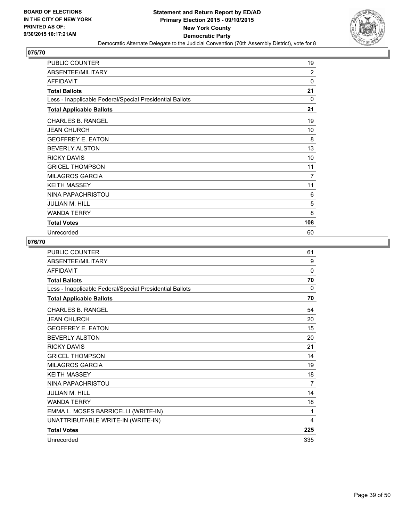

| <b>PUBLIC COUNTER</b>                                    | 19             |
|----------------------------------------------------------|----------------|
| ABSENTEE/MILITARY                                        | $\overline{2}$ |
| <b>AFFIDAVIT</b>                                         | 0              |
| <b>Total Ballots</b>                                     | 21             |
| Less - Inapplicable Federal/Special Presidential Ballots | $\Omega$       |
| <b>Total Applicable Ballots</b>                          | 21             |
| <b>CHARLES B. RANGEL</b>                                 | 19             |
| <b>JEAN CHURCH</b>                                       | 10             |
| <b>GEOFFREY E. EATON</b>                                 | 8              |
| <b>BEVERLY ALSTON</b>                                    | 13             |
| <b>RICKY DAVIS</b>                                       | 10             |
| <b>GRICEL THOMPSON</b>                                   | 11             |
| <b>MILAGROS GARCIA</b>                                   | $\overline{7}$ |
| <b>KEITH MASSEY</b>                                      | 11             |
| NINA PAPACHRISTOU                                        | 6              |
| <b>JULIAN M. HILL</b>                                    | 5              |
| <b>WANDA TERRY</b>                                       | 8              |
| <b>Total Votes</b>                                       | 108            |
| Unrecorded                                               | 60             |

| PUBLIC COUNTER                                           | 61       |
|----------------------------------------------------------|----------|
| ABSENTEE/MILITARY                                        | 9        |
| <b>AFFIDAVIT</b>                                         | $\Omega$ |
| <b>Total Ballots</b>                                     | 70       |
| Less - Inapplicable Federal/Special Presidential Ballots | 0        |
| <b>Total Applicable Ballots</b>                          | 70       |
| <b>CHARLES B. RANGEL</b>                                 | 54       |
| <b>JEAN CHURCH</b>                                       | 20       |
| <b>GEOFFREY E. EATON</b>                                 | 15       |
| <b>BEVERLY ALSTON</b>                                    | 20       |
| <b>RICKY DAVIS</b>                                       | 21       |
| <b>GRICEL THOMPSON</b>                                   | 14       |
| <b>MILAGROS GARCIA</b>                                   | 19       |
| <b>KEITH MASSEY</b>                                      | 18       |
| NINA PAPACHRISTOU                                        | 7        |
| <b>JULIAN M. HILL</b>                                    | 14       |
| <b>WANDA TERRY</b>                                       | 18       |
| EMMA L. MOSES BARRICELLI (WRITE-IN)                      | 1        |
| UNATTRIBUTABLE WRITE-IN (WRITE-IN)                       | 4        |
| <b>Total Votes</b>                                       | 225      |
| Unrecorded                                               | 335      |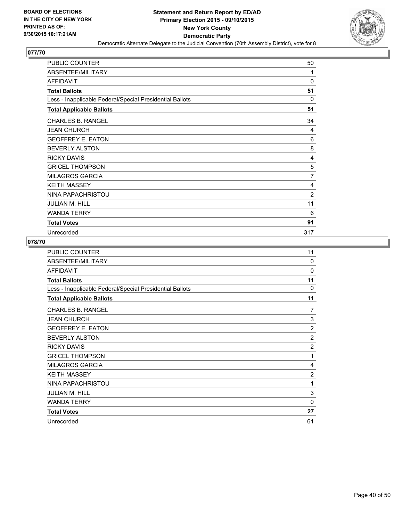

| <b>PUBLIC COUNTER</b>                                    | 50             |
|----------------------------------------------------------|----------------|
| ABSENTEE/MILITARY                                        | 1              |
| <b>AFFIDAVIT</b>                                         | $\mathbf 0$    |
| <b>Total Ballots</b>                                     | 51             |
| Less - Inapplicable Federal/Special Presidential Ballots | $\Omega$       |
| <b>Total Applicable Ballots</b>                          | 51             |
| <b>CHARLES B. RANGEL</b>                                 | 34             |
| <b>JEAN CHURCH</b>                                       | 4              |
| <b>GEOFFREY E. EATON</b>                                 | 6              |
| <b>BEVERLY ALSTON</b>                                    | 8              |
| <b>RICKY DAVIS</b>                                       | 4              |
| <b>GRICEL THOMPSON</b>                                   | 5              |
| <b>MILAGROS GARCIA</b>                                   | 7              |
| <b>KEITH MASSEY</b>                                      | 4              |
| NINA PAPACHRISTOU                                        | $\overline{2}$ |
| <b>JULIAN M. HILL</b>                                    | 11             |
| <b>WANDA TERRY</b>                                       | 6              |
| <b>Total Votes</b>                                       | 91             |
| Unrecorded                                               | 317            |

| <b>PUBLIC COUNTER</b>                                    | 11             |
|----------------------------------------------------------|----------------|
| ABSENTEE/MILITARY                                        | $\Omega$       |
| <b>AFFIDAVIT</b>                                         | 0              |
| <b>Total Ballots</b>                                     | 11             |
| Less - Inapplicable Federal/Special Presidential Ballots | $\Omega$       |
| <b>Total Applicable Ballots</b>                          | 11             |
| <b>CHARLES B. RANGEL</b>                                 | 7              |
| <b>JEAN CHURCH</b>                                       | 3              |
| <b>GEOFFREY E. EATON</b>                                 | $\overline{2}$ |
| <b>BEVERLY ALSTON</b>                                    | $\overline{2}$ |
| <b>RICKY DAVIS</b>                                       | $\overline{2}$ |
| <b>GRICEL THOMPSON</b>                                   | 1              |
| <b>MILAGROS GARCIA</b>                                   | 4              |
| <b>KEITH MASSEY</b>                                      | 2              |
| NINA PAPACHRISTOU                                        | 1              |
| JULIAN M. HILL                                           | 3              |
| <b>WANDA TERRY</b>                                       | $\Omega$       |
| <b>Total Votes</b>                                       | 27             |
| Unrecorded                                               | 61             |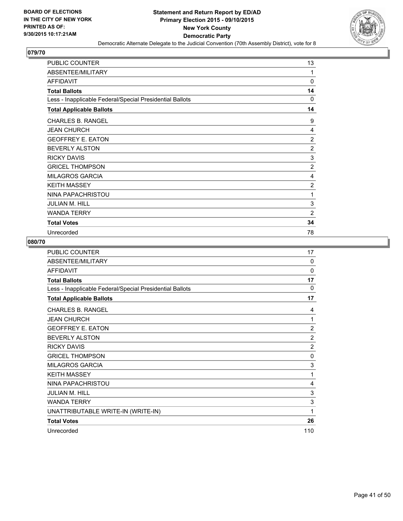

| <b>PUBLIC COUNTER</b>                                    | 13             |
|----------------------------------------------------------|----------------|
| ABSENTEE/MILITARY                                        | 1              |
| <b>AFFIDAVIT</b>                                         | $\Omega$       |
| <b>Total Ballots</b>                                     | 14             |
| Less - Inapplicable Federal/Special Presidential Ballots | 0              |
| <b>Total Applicable Ballots</b>                          | 14             |
| <b>CHARLES B. RANGEL</b>                                 | 9              |
| <b>JEAN CHURCH</b>                                       | 4              |
| <b>GEOFFREY E. EATON</b>                                 | $\overline{2}$ |
| <b>BEVERLY ALSTON</b>                                    | $\overline{2}$ |
| <b>RICKY DAVIS</b>                                       | 3              |
| <b>GRICEL THOMPSON</b>                                   | $\overline{2}$ |
| <b>MILAGROS GARCIA</b>                                   | 4              |
| <b>KEITH MASSEY</b>                                      | 2              |
| NINA PAPACHRISTOU                                        | 1              |
| <b>JULIAN M. HILL</b>                                    | 3              |
| <b>WANDA TERRY</b>                                       | $\overline{2}$ |
| <b>Total Votes</b>                                       | 34             |
| Unrecorded                                               | 78             |

| PUBLIC COUNTER                                           | 17             |
|----------------------------------------------------------|----------------|
| ABSENTEE/MILITARY                                        | $\Omega$       |
| <b>AFFIDAVIT</b>                                         | $\Omega$       |
| <b>Total Ballots</b>                                     | 17             |
| Less - Inapplicable Federal/Special Presidential Ballots | 0              |
| <b>Total Applicable Ballots</b>                          | 17             |
| <b>CHARLES B. RANGEL</b>                                 | 4              |
| <b>JEAN CHURCH</b>                                       | 1              |
| <b>GEOFFREY E. EATON</b>                                 | $\overline{c}$ |
| <b>BEVERLY ALSTON</b>                                    | $\overline{2}$ |
| <b>RICKY DAVIS</b>                                       | $\overline{2}$ |
| <b>GRICEL THOMPSON</b>                                   | 0              |
| <b>MILAGROS GARCIA</b>                                   | 3              |
| <b>KEITH MASSEY</b>                                      | 1              |
| NINA PAPACHRISTOU                                        | 4              |
| <b>JULIAN M. HILL</b>                                    | 3              |
| <b>WANDA TERRY</b>                                       | 3              |
| UNATTRIBUTABLE WRITE-IN (WRITE-IN)                       | 1              |
| <b>Total Votes</b>                                       | 26             |
| Unrecorded                                               | 110            |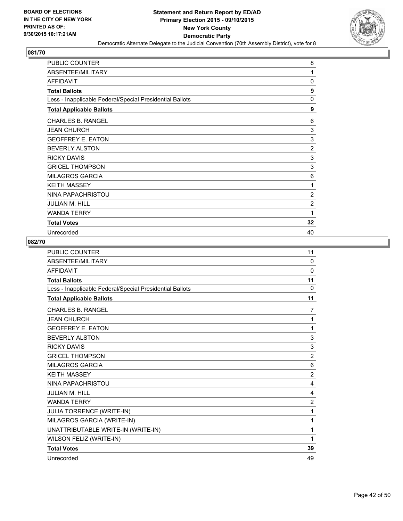

| <b>PUBLIC COUNTER</b>                                    | 8              |
|----------------------------------------------------------|----------------|
| ABSENTEE/MILITARY                                        | 1              |
| <b>AFFIDAVIT</b>                                         | 0              |
| <b>Total Ballots</b>                                     | 9              |
| Less - Inapplicable Federal/Special Presidential Ballots | 0              |
| <b>Total Applicable Ballots</b>                          | 9              |
| <b>CHARLES B. RANGEL</b>                                 | 6              |
| <b>JEAN CHURCH</b>                                       | 3              |
| <b>GEOFFREY E. EATON</b>                                 | 3              |
| <b>BEVERLY ALSTON</b>                                    | $\overline{2}$ |
| <b>RICKY DAVIS</b>                                       | 3              |
| <b>GRICEL THOMPSON</b>                                   | 3              |
| <b>MILAGROS GARCIA</b>                                   | 6              |
| <b>KEITH MASSEY</b>                                      | 1              |
| NINA PAPACHRISTOU                                        | $\overline{2}$ |
| <b>JULIAN M. HILL</b>                                    | $\overline{2}$ |
| <b>WANDA TERRY</b>                                       | 1              |
| <b>Total Votes</b>                                       | 32             |
| Unrecorded                                               | 40             |

| <b>PUBLIC COUNTER</b>                                    | 11             |
|----------------------------------------------------------|----------------|
| ABSENTEE/MILITARY                                        | $\Omega$       |
| <b>AFFIDAVIT</b>                                         | $\mathbf{0}$   |
| <b>Total Ballots</b>                                     | 11             |
| Less - Inapplicable Federal/Special Presidential Ballots | $\Omega$       |
| <b>Total Applicable Ballots</b>                          | 11             |
| <b>CHARLES B. RANGEL</b>                                 | 7              |
| <b>JEAN CHURCH</b>                                       | 1              |
| <b>GEOFFREY E. EATON</b>                                 | 1              |
| <b>BEVERLY ALSTON</b>                                    | 3              |
| <b>RICKY DAVIS</b>                                       | 3              |
| <b>GRICEL THOMPSON</b>                                   | $\overline{c}$ |
| <b>MILAGROS GARCIA</b>                                   | 6              |
| <b>KEITH MASSEY</b>                                      | $\overline{2}$ |
| NINA PAPACHRISTOU                                        | 4              |
| <b>JULIAN M. HILL</b>                                    | 4              |
| <b>WANDA TERRY</b>                                       | 2              |
| <b>JULIA TORRENCE (WRITE-IN)</b>                         | 1              |
| MILAGROS GARCIA (WRITE-IN)                               | 1              |
| UNATTRIBUTABLE WRITE-IN (WRITE-IN)                       | 1              |
| WILSON FELIZ (WRITE-IN)                                  | 1              |
| <b>Total Votes</b>                                       | 39             |
| Unrecorded                                               | 49             |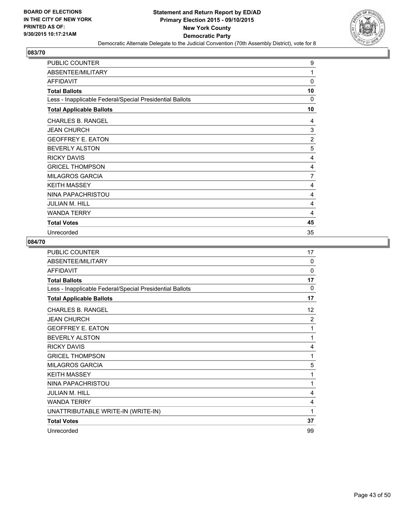

| <b>PUBLIC COUNTER</b>                                    | 9  |
|----------------------------------------------------------|----|
| ABSENTEE/MILITARY                                        | 1  |
| AFFIDAVIT                                                | 0  |
| <b>Total Ballots</b>                                     | 10 |
| Less - Inapplicable Federal/Special Presidential Ballots | 0  |
| <b>Total Applicable Ballots</b>                          | 10 |
| <b>CHARLES B. RANGEL</b>                                 | 4  |
| <b>JEAN CHURCH</b>                                       | 3  |
| <b>GEOFFREY E. EATON</b>                                 | 2  |
| <b>BEVERLY ALSTON</b>                                    | 5  |
| <b>RICKY DAVIS</b>                                       | 4  |
| <b>GRICEL THOMPSON</b>                                   | 4  |
| <b>MILAGROS GARCIA</b>                                   | 7  |
| <b>KEITH MASSEY</b>                                      | 4  |
| NINA PAPACHRISTOU                                        | 4  |
| JULIAN M. HILL                                           | 4  |
| <b>WANDA TERRY</b>                                       | 4  |
| <b>Total Votes</b>                                       | 45 |
| Unrecorded                                               | 35 |

| <b>PUBLIC COUNTER</b>                                    | 17             |
|----------------------------------------------------------|----------------|
| ABSENTEE/MILITARY                                        | 0              |
| <b>AFFIDAVIT</b>                                         | $\Omega$       |
| <b>Total Ballots</b>                                     | 17             |
| Less - Inapplicable Federal/Special Presidential Ballots | $\Omega$       |
| <b>Total Applicable Ballots</b>                          | 17             |
| <b>CHARLES B. RANGEL</b>                                 | 12             |
| <b>JEAN CHURCH</b>                                       | $\overline{2}$ |
| <b>GEOFFREY E. EATON</b>                                 | 1              |
| <b>BEVERLY ALSTON</b>                                    | 1              |
| <b>RICKY DAVIS</b>                                       | 4              |
| <b>GRICEL THOMPSON</b>                                   | 1              |
| <b>MILAGROS GARCIA</b>                                   | 5              |
| <b>KEITH MASSEY</b>                                      | 1              |
| NINA PAPACHRISTOU                                        | 1              |
| <b>JULIAN M. HILL</b>                                    | 4              |
| <b>WANDA TERRY</b>                                       | 4              |
| UNATTRIBUTABLE WRITE-IN (WRITE-IN)                       | 1              |
| <b>Total Votes</b>                                       | 37             |
| Unrecorded                                               | 99             |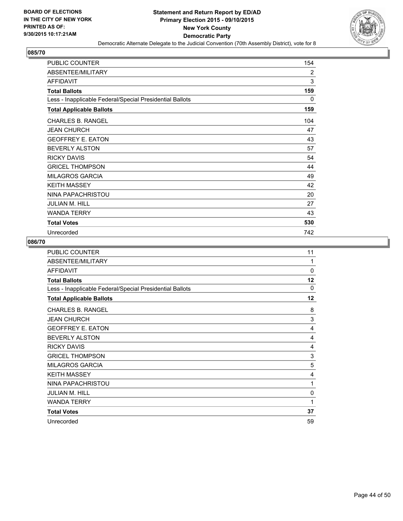

| <b>PUBLIC COUNTER</b>                                    | 154 |
|----------------------------------------------------------|-----|
| ABSENTEE/MILITARY                                        | 2   |
| <b>AFFIDAVIT</b>                                         | 3   |
| <b>Total Ballots</b>                                     | 159 |
| Less - Inapplicable Federal/Special Presidential Ballots | 0   |
| <b>Total Applicable Ballots</b>                          | 159 |
| <b>CHARLES B. RANGEL</b>                                 | 104 |
| <b>JEAN CHURCH</b>                                       | 47  |
| <b>GEOFFREY E. EATON</b>                                 | 43  |
| <b>BEVERLY ALSTON</b>                                    | 57  |
| <b>RICKY DAVIS</b>                                       | 54  |
| <b>GRICEL THOMPSON</b>                                   | 44  |
| <b>MILAGROS GARCIA</b>                                   | 49  |
| <b>KEITH MASSEY</b>                                      | 42  |
| NINA PAPACHRISTOU                                        | 20  |
| <b>JULIAN M. HILL</b>                                    | 27  |
| <b>WANDA TERRY</b>                                       | 43  |
| <b>Total Votes</b>                                       | 530 |
| Unrecorded                                               | 742 |

| PUBLIC COUNTER                                           | 11       |
|----------------------------------------------------------|----------|
| ABSENTEE/MILITARY                                        | 1        |
| <b>AFFIDAVIT</b>                                         | 0        |
| <b>Total Ballots</b>                                     | 12       |
| Less - Inapplicable Federal/Special Presidential Ballots | $\Omega$ |
| <b>Total Applicable Ballots</b>                          | 12       |
| CHARLES B. RANGEL                                        | 8        |
| <b>JEAN CHURCH</b>                                       | 3        |
| <b>GEOFFREY E. EATON</b>                                 | 4        |
| <b>BEVERLY ALSTON</b>                                    | 4        |
| <b>RICKY DAVIS</b>                                       | 4        |
| <b>GRICEL THOMPSON</b>                                   | 3        |
| <b>MILAGROS GARCIA</b>                                   | 5        |
| <b>KEITH MASSEY</b>                                      | 4        |
| NINA PAPACHRISTOU                                        | 1        |
| JULIAN M. HILL                                           | 0        |
| <b>WANDA TERRY</b>                                       | 1        |
| <b>Total Votes</b>                                       | 37       |
| Unrecorded                                               | 59       |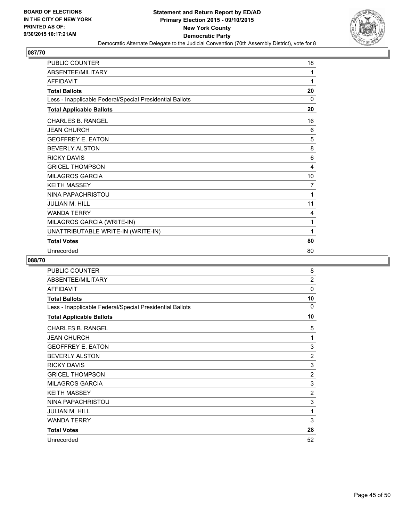

| PUBLIC COUNTER                                           | 18 |
|----------------------------------------------------------|----|
| ABSENTEE/MILITARY                                        | 1  |
| <b>AFFIDAVIT</b>                                         | 1  |
| <b>Total Ballots</b>                                     | 20 |
| Less - Inapplicable Federal/Special Presidential Ballots | 0  |
| <b>Total Applicable Ballots</b>                          | 20 |
| CHARLES B. RANGEL                                        | 16 |
| <b>JEAN CHURCH</b>                                       | 6  |
| <b>GEOFFREY E. EATON</b>                                 | 5  |
| <b>BEVERLY ALSTON</b>                                    | 8  |
| <b>RICKY DAVIS</b>                                       | 6  |
| <b>GRICEL THOMPSON</b>                                   | 4  |
| <b>MILAGROS GARCIA</b>                                   | 10 |
| <b>KEITH MASSEY</b>                                      | 7  |
| NINA PAPACHRISTOU                                        | 1  |
| <b>JULIAN M. HILL</b>                                    | 11 |
| <b>WANDA TERRY</b>                                       | 4  |
| MILAGROS GARCIA (WRITE-IN)                               | 1  |
| UNATTRIBUTABLE WRITE-IN (WRITE-IN)                       | 1  |
| <b>Total Votes</b>                                       | 80 |
| Unrecorded                                               | 80 |

| PUBLIC COUNTER                                           | 8              |
|----------------------------------------------------------|----------------|
| ABSENTEE/MILITARY                                        | $\overline{2}$ |
| <b>AFFIDAVIT</b>                                         | 0              |
| <b>Total Ballots</b>                                     | 10             |
| Less - Inapplicable Federal/Special Presidential Ballots | 0              |
| <b>Total Applicable Ballots</b>                          | 10             |
| <b>CHARLES B. RANGEL</b>                                 | 5              |
| <b>JEAN CHURCH</b>                                       | 1              |
| <b>GEOFFREY E. EATON</b>                                 | 3              |
| <b>BEVERLY ALSTON</b>                                    | $\overline{2}$ |
| <b>RICKY DAVIS</b>                                       | 3              |
| <b>GRICEL THOMPSON</b>                                   | $\overline{2}$ |
| <b>MILAGROS GARCIA</b>                                   | 3              |
| <b>KEITH MASSEY</b>                                      | $\overline{2}$ |
| NINA PAPACHRISTOU                                        | 3              |
| <b>JULIAN M. HILL</b>                                    | 1              |
| <b>WANDA TERRY</b>                                       | 3              |
| <b>Total Votes</b>                                       | 28             |
| Unrecorded                                               | 52             |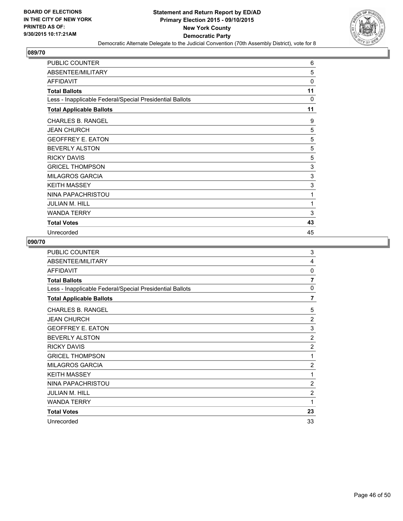

| <b>PUBLIC COUNTER</b>                                    | 6           |
|----------------------------------------------------------|-------------|
| ABSENTEE/MILITARY                                        | 5           |
| <b>AFFIDAVIT</b>                                         | $\mathbf 0$ |
| <b>Total Ballots</b>                                     | 11          |
| Less - Inapplicable Federal/Special Presidential Ballots | 0           |
| <b>Total Applicable Ballots</b>                          | 11          |
| <b>CHARLES B. RANGEL</b>                                 | 9           |
| <b>JEAN CHURCH</b>                                       | 5           |
| <b>GEOFFREY E. EATON</b>                                 | 5           |
| <b>BEVERLY ALSTON</b>                                    | 5           |
| <b>RICKY DAVIS</b>                                       | 5           |
| <b>GRICEL THOMPSON</b>                                   | 3           |
| <b>MILAGROS GARCIA</b>                                   | 3           |
| <b>KEITH MASSEY</b>                                      | 3           |
| NINA PAPACHRISTOU                                        | 1           |
| <b>JULIAN M. HILL</b>                                    | 1           |
| <b>WANDA TERRY</b>                                       | 3           |
| <b>Total Votes</b>                                       | 43          |
| Unrecorded                                               | 45          |

| <b>PUBLIC COUNTER</b>                                    | 3              |
|----------------------------------------------------------|----------------|
| ABSENTEE/MILITARY                                        | 4              |
| <b>AFFIDAVIT</b>                                         | 0              |
| <b>Total Ballots</b>                                     | $\overline{7}$ |
| Less - Inapplicable Federal/Special Presidential Ballots | $\Omega$       |
| <b>Total Applicable Ballots</b>                          | $\overline{7}$ |
| <b>CHARLES B. RANGEL</b>                                 | 5              |
| <b>JEAN CHURCH</b>                                       | $\overline{2}$ |
| <b>GEOFFREY E. EATON</b>                                 | 3              |
| <b>BEVERLY ALSTON</b>                                    | $\overline{2}$ |
| <b>RICKY DAVIS</b>                                       | $\overline{c}$ |
| <b>GRICEL THOMPSON</b>                                   | 1              |
| <b>MILAGROS GARCIA</b>                                   | 2              |
| <b>KEITH MASSEY</b>                                      | 1              |
| NINA PAPACHRISTOU                                        | $\overline{2}$ |
| <b>JULIAN M. HILL</b>                                    | $\overline{2}$ |
| <b>WANDA TERRY</b>                                       | 1              |
| <b>Total Votes</b>                                       | 23             |
| Unrecorded                                               | 33             |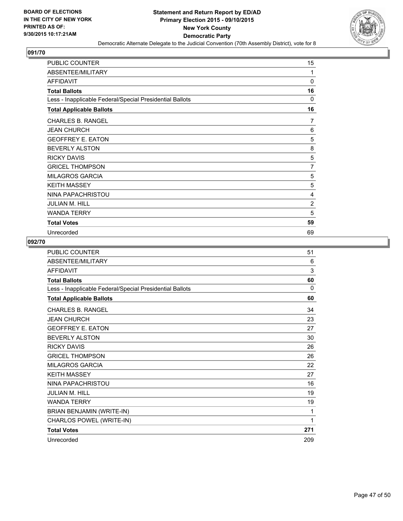

| <b>PUBLIC COUNTER</b>                                    | 15             |
|----------------------------------------------------------|----------------|
| ABSENTEE/MILITARY                                        | 1              |
| AFFIDAVIT                                                | 0              |
| <b>Total Ballots</b>                                     | 16             |
| Less - Inapplicable Federal/Special Presidential Ballots | 0              |
| <b>Total Applicable Ballots</b>                          | 16             |
| <b>CHARLES B. RANGEL</b>                                 | 7              |
| <b>JEAN CHURCH</b>                                       | 6              |
| <b>GEOFFREY E. EATON</b>                                 | 5              |
| <b>BEVERLY ALSTON</b>                                    | 8              |
| <b>RICKY DAVIS</b>                                       | 5              |
| <b>GRICEL THOMPSON</b>                                   | 7              |
| <b>MILAGROS GARCIA</b>                                   | 5              |
| <b>KEITH MASSEY</b>                                      | 5              |
| NINA PAPACHRISTOU                                        | 4              |
| JULIAN M. HILL                                           | $\overline{c}$ |
| <b>WANDA TERRY</b>                                       | 5              |
| <b>Total Votes</b>                                       | 59             |
| Unrecorded                                               | 69             |

| <b>PUBLIC COUNTER</b>                                    | 51  |
|----------------------------------------------------------|-----|
| ABSENTEE/MILITARY                                        | 6   |
| <b>AFFIDAVIT</b>                                         | 3   |
| <b>Total Ballots</b>                                     | 60  |
| Less - Inapplicable Federal/Special Presidential Ballots | 0   |
| <b>Total Applicable Ballots</b>                          | 60  |
| <b>CHARLES B. RANGEL</b>                                 | 34  |
| <b>JEAN CHURCH</b>                                       | 23  |
| <b>GEOFFREY E. EATON</b>                                 | 27  |
| <b>BEVERLY ALSTON</b>                                    | 30  |
| <b>RICKY DAVIS</b>                                       | 26  |
| <b>GRICEL THOMPSON</b>                                   | 26  |
| <b>MILAGROS GARCIA</b>                                   | 22  |
| <b>KEITH MASSEY</b>                                      | 27  |
| NINA PAPACHRISTOU                                        | 16  |
| <b>JULIAN M. HILL</b>                                    | 19  |
| <b>WANDA TERRY</b>                                       | 19  |
| BRIAN BENJAMIN (WRITE-IN)                                | 1   |
| CHARLOS POWEL (WRITE-IN)                                 | 1   |
| <b>Total Votes</b>                                       | 271 |
| Unrecorded                                               | 209 |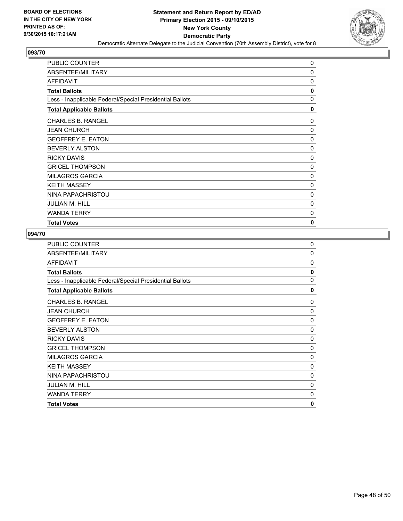

| <b>PUBLIC COUNTER</b>                                    | 0 |
|----------------------------------------------------------|---|
| ABSENTEE/MILITARY                                        | 0 |
| <b>AFFIDAVIT</b>                                         | 0 |
| <b>Total Ballots</b>                                     | 0 |
| Less - Inapplicable Federal/Special Presidential Ballots | 0 |
| <b>Total Applicable Ballots</b>                          | 0 |
| <b>CHARLES B. RANGEL</b>                                 | 0 |
| <b>JEAN CHURCH</b>                                       | 0 |
| <b>GEOFFREY E. EATON</b>                                 | 0 |
| <b>BEVERLY ALSTON</b>                                    | 0 |
| <b>RICKY DAVIS</b>                                       | 0 |
| <b>GRICEL THOMPSON</b>                                   | 0 |
| <b>MILAGROS GARCIA</b>                                   | 0 |
| <b>KEITH MASSEY</b>                                      | 0 |
| NINA PAPACHRISTOU                                        | 0 |
| <b>JULIAN M. HILL</b>                                    | 0 |
| <b>WANDA TERRY</b>                                       | 0 |
| <b>Total Votes</b>                                       | 0 |

| <b>PUBLIC COUNTER</b>                                    | 0        |
|----------------------------------------------------------|----------|
| ABSENTEE/MILITARY                                        | 0        |
| <b>AFFIDAVIT</b>                                         | $\Omega$ |
| <b>Total Ballots</b>                                     | 0        |
| Less - Inapplicable Federal/Special Presidential Ballots | $\Omega$ |
| <b>Total Applicable Ballots</b>                          | 0        |
| <b>CHARLES B. RANGEL</b>                                 | 0        |
| <b>JEAN CHURCH</b>                                       | 0        |
| <b>GEOFFREY E. EATON</b>                                 | 0        |
| <b>BEVERLY ALSTON</b>                                    | 0        |
| <b>RICKY DAVIS</b>                                       | 0        |
| <b>GRICEL THOMPSON</b>                                   | 0        |
| <b>MILAGROS GARCIA</b>                                   | 0        |
| <b>KEITH MASSEY</b>                                      | 0        |
| NINA PAPACHRISTOU                                        | 0        |
| <b>JULIAN M. HILL</b>                                    | 0        |
| <b>WANDA TERRY</b>                                       | 0        |
| <b>Total Votes</b>                                       | 0        |
|                                                          |          |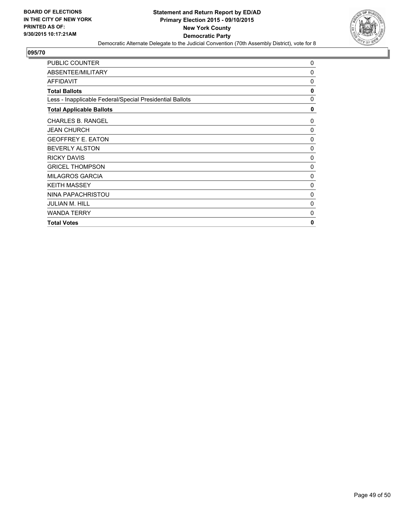

| PUBLIC COUNTER                                           | 0        |
|----------------------------------------------------------|----------|
| ABSENTEE/MILITARY                                        | 0        |
| <b>AFFIDAVIT</b>                                         | 0        |
| <b>Total Ballots</b>                                     | 0        |
| Less - Inapplicable Federal/Special Presidential Ballots | 0        |
| <b>Total Applicable Ballots</b>                          | 0        |
| <b>CHARLES B. RANGEL</b>                                 | 0        |
| <b>JEAN CHURCH</b>                                       | 0        |
| <b>GEOFFREY E. EATON</b>                                 | 0        |
| <b>BEVERLY ALSTON</b>                                    | $\Omega$ |
| <b>RICKY DAVIS</b>                                       | 0        |
| <b>GRICEL THOMPSON</b>                                   | 0        |
| <b>MILAGROS GARCIA</b>                                   | 0        |
| <b>KEITH MASSEY</b>                                      | 0        |
| NINA PAPACHRISTOU                                        | 0        |
| <b>JULIAN M. HILL</b>                                    | 0        |
| <b>WANDA TERRY</b>                                       | 0        |
| <b>Total Votes</b>                                       | 0        |